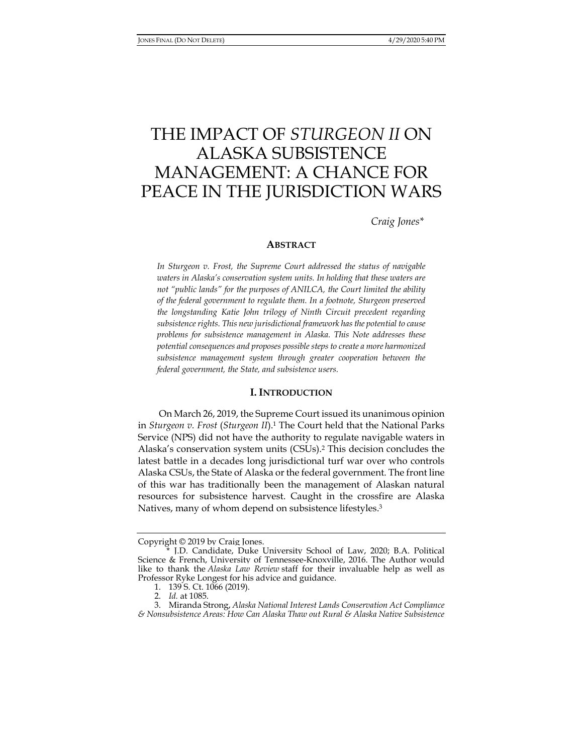# THE IMPACT OF *STURGEON II* ON ALASKA SUBSISTENCE MANAGEMENT: A CHANCE FOR PEACE IN THE JURISDICTION WARS

*Craig Jones\** 

## **ABSTRACT**

*In Sturgeon v. Frost, the Supreme Court addressed the status of navigable waters in Alaska's conservation system units. In holding that these waters are not "public lands" for the purposes of ANILCA, the Court limited the ability of the federal government to regulate them. In a footnote, Sturgeon preserved the longstanding Katie John trilogy of Ninth Circuit precedent regarding subsistence rights. This new jurisdictional framework has the potential to cause problems for subsistence management in Alaska. This Note addresses these potential consequences and proposes possible steps to create a more harmonized subsistence management system through greater cooperation between the federal government, the State, and subsistence users.* 

## **I. INTRODUCTION**

On March 26, 2019, the Supreme Court issued its unanimous opinion in *Sturgeon v. Frost* (*Sturgeon II*).1 The Court held that the National Parks Service (NPS) did not have the authority to regulate navigable waters in Alaska's conservation system units (CSUs).2 This decision concludes the latest battle in a decades long jurisdictional turf war over who controls Alaska CSUs, the State of Alaska or the federal government. The front line of this war has traditionally been the management of Alaskan natural resources for subsistence harvest. Caught in the crossfire are Alaska Natives, many of whom depend on subsistence lifestyles.<sup>3</sup>

Copyright © 2019 by Craig Jones.

J.D. Candidate, Duke University School of Law, 2020; B.A. Political Science & French, University of Tennessee-Knoxville, 2016. The Author would like to thank the *Alaska Law Review* staff for their invaluable help as well as Professor Ryke Longest for his advice and guidance.

 <sup>1. 139</sup> S. Ct. 1066 (2019).

 <sup>2.</sup> *Id.* at 1085.

 <sup>3.</sup> Miranda Strong, *Alaska National Interest Lands Conservation Act Compliance & Nonsubsistence Areas: How Can Alaska Thaw out Rural & Alaska Native Subsistence*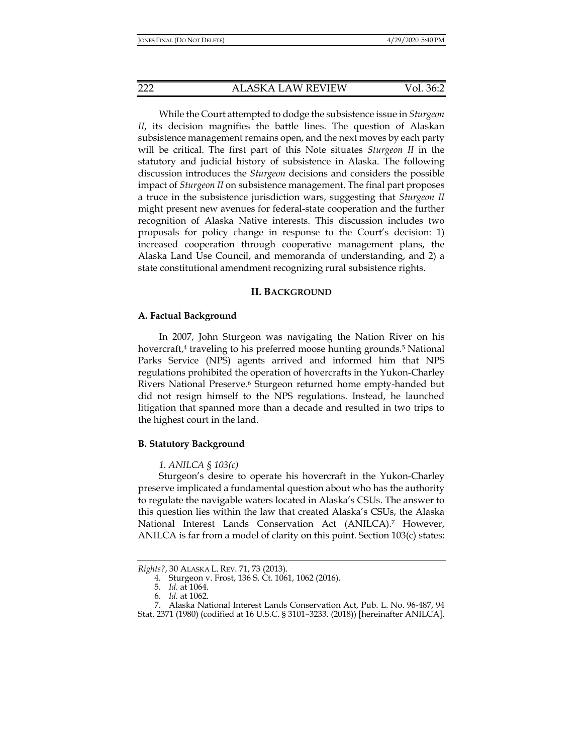While the Court attempted to dodge the subsistence issue in *Sturgeon II*, its decision magnifies the battle lines. The question of Alaskan subsistence management remains open, and the next moves by each party will be critical. The first part of this Note situates *Sturgeon II* in the statutory and judicial history of subsistence in Alaska. The following discussion introduces the *Sturgeon* decisions and considers the possible impact of *Sturgeon II* on subsistence management. The final part proposes a truce in the subsistence jurisdiction wars, suggesting that *Sturgeon II*  might present new avenues for federal-state cooperation and the further recognition of Alaska Native interests. This discussion includes two proposals for policy change in response to the Court's decision: 1) increased cooperation through cooperative management plans, the Alaska Land Use Council, and memoranda of understanding, and 2) a state constitutional amendment recognizing rural subsistence rights.

# **II. BACKGROUND**

## **A. Factual Background**

In 2007, John Sturgeon was navigating the Nation River on his hovercraft,<sup>4</sup> traveling to his preferred moose hunting grounds.<sup>5</sup> National Parks Service (NPS) agents arrived and informed him that NPS regulations prohibited the operation of hovercrafts in the Yukon-Charley Rivers National Preserve.6 Sturgeon returned home empty-handed but did not resign himself to the NPS regulations. Instead, he launched litigation that spanned more than a decade and resulted in two trips to the highest court in the land.

## **B. Statutory Background**

## *1. ANILCA § 103(c)*

Sturgeon's desire to operate his hovercraft in the Yukon-Charley preserve implicated a fundamental question about who has the authority to regulate the navigable waters located in Alaska's CSUs. The answer to this question lies within the law that created Alaska's CSUs, the Alaska National Interest Lands Conservation Act (ANILCA).7 However, ANILCA is far from a model of clarity on this point. Section 103(c) states:

*Rights?*, 30 ALASKA L. REV. 71, 73 (2013).

 <sup>4.</sup> Sturgeon v. Frost, 136 S. Ct. 1061, 1062 (2016).

 <sup>5.</sup> *Id.* at 1064.

 <sup>6.</sup> *Id.* at 1062.

 <sup>7.</sup> Alaska National Interest Lands Conservation Act, Pub. L. No. 96-487, 94 Stat. 2371 (1980) (codified at 16 U.S.C. § 3101–3233*.* (2018)) [hereinafter ANILCA].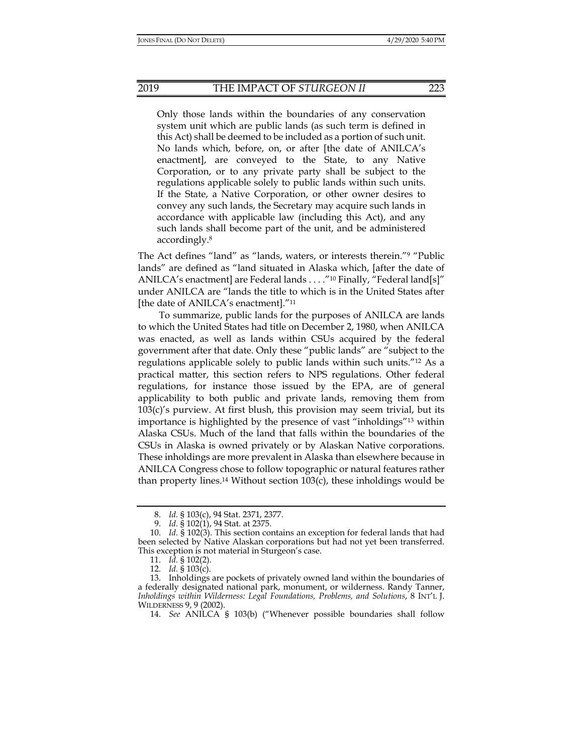Only those lands within the boundaries of any conservation system unit which are public lands (as such term is defined in this Act) shall be deemed to be included as a portion of such unit. No lands which, before, on, or after [the date of ANILCA's enactment], are conveyed to the State, to any Native Corporation, or to any private party shall be subject to the regulations applicable solely to public lands within such units. If the State, a Native Corporation, or other owner desires to convey any such lands, the Secretary may acquire such lands in accordance with applicable law (including this Act), and any such lands shall become part of the unit, and be administered accordingly.8

The Act defines "land" as "lands, waters, or interests therein."9 "Public lands" are defined as "land situated in Alaska which, [after the date of ANILCA's enactment] are Federal lands . . . . "<sup>10</sup> Finally, "Federal land[s]" under ANILCA are "lands the title to which is in the United States after [the date of ANILCA's enactment]."11

To summarize, public lands for the purposes of ANILCA are lands to which the United States had title on December 2, 1980, when ANILCA was enacted, as well as lands within CSUs acquired by the federal government after that date. Only these "public lands" are "subject to the regulations applicable solely to public lands within such units."12 As a practical matter, this section refers to NPS regulations. Other federal regulations, for instance those issued by the EPA, are of general applicability to both public and private lands, removing them from 103(c)'s purview. At first blush, this provision may seem trivial, but its importance is highlighted by the presence of vast "inholdings"13 within Alaska CSUs. Much of the land that falls within the boundaries of the CSUs in Alaska is owned privately or by Alaskan Native corporations. These inholdings are more prevalent in Alaska than elsewhere because in ANILCA Congress chose to follow topographic or natural features rather than property lines.<sup>14</sup> Without section  $103(c)$ , these inholdings would be

 <sup>8.</sup> *Id.* § 103(c), 94 Stat. 2371, 2377.

 <sup>9.</sup> *Id.* § 102(1), 94 Stat. at 2375.

 <sup>10.</sup> *Id.* § 102(3). This section contains an exception for federal lands that had been selected by Native Alaskan corporations but had not yet been transferred. This exception is not material in Sturgeon's case.

 <sup>11.</sup> *Id.* § 102(2).

 <sup>12.</sup> *Id.* § 103(c).

 <sup>13.</sup> Inholdings are pockets of privately owned land within the boundaries of a federally designated national park, monument, or wilderness. Randy Tanner, *Inholdings within Wilderness: Legal Foundations, Problems, and Solutions*, 8 INT'L J. WILDERNESS 9, 9 (2002).

 <sup>14.</sup> *See* ANILCA § 103(b) ("Whenever possible boundaries shall follow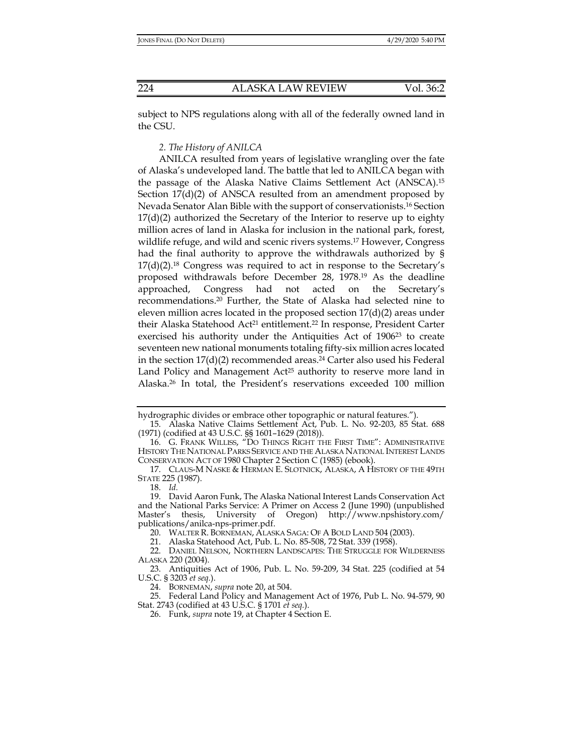subject to NPS regulations along with all of the federally owned land in the CSU.

*2. The History of ANILCA* 

ANILCA resulted from years of legislative wrangling over the fate of Alaska's undeveloped land. The battle that led to ANILCA began with the passage of the Alaska Native Claims Settlement Act (ANSCA).15 Section 17(d)(2) of ANSCA resulted from an amendment proposed by Nevada Senator Alan Bible with the support of conservationists.16 Section  $17(d)(2)$  authorized the Secretary of the Interior to reserve up to eighty million acres of land in Alaska for inclusion in the national park, forest, wildlife refuge, and wild and scenic rivers systems.17 However, Congress had the final authority to approve the withdrawals authorized by §  $17(d)(2).^{18}$  Congress was required to act in response to the Secretary's proposed withdrawals before December 28, 1978.19 As the deadline approached, Congress had not acted on the Secretary's recommendations.20 Further, the State of Alaska had selected nine to eleven million acres located in the proposed section 17(d)(2) areas under their Alaska Statehood Act<sup>21</sup> entitlement.<sup>22</sup> In response, President Carter exercised his authority under the Antiquities Act of 1906<sup>23</sup> to create seventeen new national monuments totaling fifty-six million acres located in the section  $17(d)(2)$  recommended areas.<sup>24</sup> Carter also used his Federal Land Policy and Management Act<sup>25</sup> authority to reserve more land in Alaska.26 In total, the President's reservations exceeded 100 million

hydrographic divides or embrace other topographic or natural features.")

 <sup>15.</sup> Alaska Native Claims Settlement Act, Pub. L. No. 92-203, 85 Stat. 688 (1971) (codified at 43 U.S.C. §§ 1601–1629 (2018)).

 <sup>16.</sup> G. FRANK WILLISS, "DO THINGS RIGHT THE FIRST TIME": ADMINISTRATIVE HISTORY THE NATIONAL PARKS SERVICE AND THE ALASKA NATIONAL INTEREST LANDS CONSERVATION ACT OF 1980 Chapter 2 Section C (1985) (ebook).

 <sup>17.</sup> CLAUS-M NASKE & HERMAN E. SLOTNICK, ALASKA, A HISTORY OF THE 49TH STATE 225 (1987).

 <sup>18.</sup> *Id.*

 <sup>19.</sup> David Aaron Funk, The Alaska National Interest Lands Conservation Act and the National Parks Service: A Primer on Access 2 (June 1990) (unpublished Master's thesis, University of Oregon) http://www.npshistory.com/ publications/anilca-nps-primer.pdf.

 <sup>20.</sup> WALTER R. BORNEMAN, ALASKA SAGA: OF A BOLD LAND 504 (2003).

 <sup>21.</sup> Alaska Statehood Act, Pub. L. No. 85-508, 72 Stat. 339 (1958).

 <sup>22.</sup> DANIEL NELSON, NORTHERN LANDSCAPES: THE STRUGGLE FOR WILDERNESS ALASKA 220 (2004).

 <sup>23.</sup> Antiquities Act of 1906, Pub. L. No. 59-209, 34 Stat. 225 (codified at 54 U.S.C. § 3203 *et seq.*).

 <sup>24.</sup> BORNEMAN, *supra* note 20, at 504.

 <sup>25.</sup> Federal Land Policy and Management Act of 1976, Pub L. No. 94-579, 90 Stat. 2743 (codified at 43 U.S.C. § 1701 *et seq.*).

 <sup>26.</sup> Funk, *supra* note 19, at Chapter 4 Section E.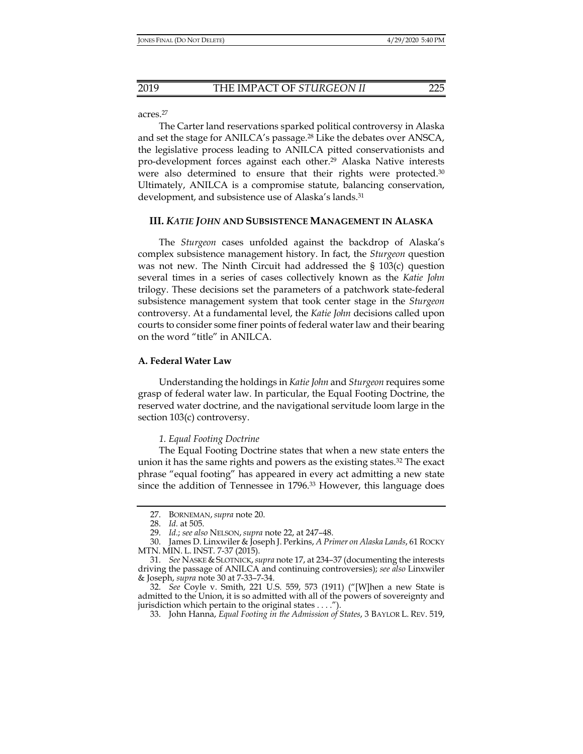## acres.27

The Carter land reservations sparked political controversy in Alaska and set the stage for ANILCA's passage.<sup>28</sup> Like the debates over ANSCA, the legislative process leading to ANILCA pitted conservationists and pro-development forces against each other.29 Alaska Native interests were also determined to ensure that their rights were protected.<sup>30</sup> Ultimately, ANILCA is a compromise statute, balancing conservation, development, and subsistence use of Alaska's lands.31

## **III.** *KATIE JOHN* **AND SUBSISTENCE MANAGEMENT IN ALASKA**

The *Sturgeon* cases unfolded against the backdrop of Alaska's complex subsistence management history. In fact, the *Sturgeon* question was not new. The Ninth Circuit had addressed the § 103(c) question several times in a series of cases collectively known as the *Katie John*  trilogy. These decisions set the parameters of a patchwork state-federal subsistence management system that took center stage in the *Sturgeon*  controversy. At a fundamental level, the *Katie John* decisions called upon courts to consider some finer points of federal water law and their bearing on the word "title" in ANILCA.

# **A. Federal Water Law**

Understanding the holdings in *Katie John* and *Sturgeon* requires some grasp of federal water law. In particular, the Equal Footing Doctrine, the reserved water doctrine, and the navigational servitude loom large in the section 103(c) controversy.

## *1. Equal Footing Doctrine*

The Equal Footing Doctrine states that when a new state enters the union it has the same rights and powers as the existing states.<sup>32</sup> The exact phrase "equal footing" has appeared in every act admitting a new state since the addition of Tennessee in 1796.33 However, this language does

 <sup>27.</sup> BORNEMAN, *supra* note 20.

 <sup>28.</sup> *Id.* at 505.

 <sup>29.</sup> *Id.*; *see also* NELSON, *supra* note 22, at 247–48.

 <sup>30.</sup> James D. Linxwiler & Joseph J. Perkins, *A Primer on Alaska Lands*, 61 ROCKY MTN. MIN. L. INST. 7-37 (2015).

 <sup>31.</sup> *See* NASKE & SLOTNICK,*supra* note 17, at 234–37 (documenting the interests driving the passage of ANILCA and continuing controversies); *see also* Linxwiler & Joseph, *supra* note 30 at 7-33–7-34.

 <sup>32.</sup> *See* Coyle v. Smith, 221 U.S. 559, 573 (1911) ("[W]hen a new State is admitted to the Union, it is so admitted with all of the powers of sovereignty and jurisdiction which pertain to the original states . . . .").

 <sup>33.</sup> John Hanna, *Equal Footing in the Admission of States*, 3 BAYLOR L. REV. 519,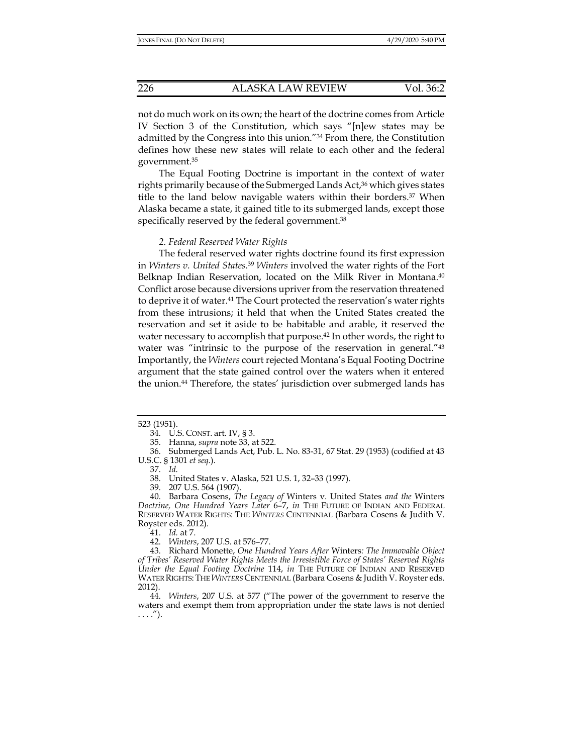not do much work on its own; the heart of the doctrine comes from Article IV Section 3 of the Constitution, which says "[n]ew states may be admitted by the Congress into this union."34 From there, the Constitution defines how these new states will relate to each other and the federal government.35

The Equal Footing Doctrine is important in the context of water rights primarily because of the Submerged Lands Act,36 which gives states title to the land below navigable waters within their borders.37 When Alaska became a state, it gained title to its submerged lands, except those specifically reserved by the federal government.<sup>38</sup>

## *2. Federal Reserved Water Rights*

 The federal reserved water rights doctrine found its first expression in *Winters v. United States*. <sup>39</sup> *Winters* involved the water rights of the Fort Belknap Indian Reservation, located on the Milk River in Montana.<sup>40</sup> Conflict arose because diversions upriver from the reservation threatened to deprive it of water.41 The Court protected the reservation's water rights from these intrusions; it held that when the United States created the reservation and set it aside to be habitable and arable, it reserved the water necessary to accomplish that purpose.<sup>42</sup> In other words, the right to water was "intrinsic to the purpose of the reservation in general."<sup>43</sup> Importantly, the *Winters* court rejected Montana's Equal Footing Doctrine argument that the state gained control over the waters when it entered the union.44 Therefore, the states' jurisdiction over submerged lands has

 36. Submerged Lands Act, Pub. L. No. 83-31, 67 Stat. 29 (1953) (codified at 43 U.S.C. § 1301 *et seq.*).

37. *Id.* 

41. *Id.* at 7.

42. *Winters*, 207 U.S. at 576–77.

 43. Richard Monette, *One Hundred Years After* Winters*: The Immovable Object of Tribes' Reserved Water Rights Meets the Irresistible Force of States' Reserved Rights Under the Equal Footing Doctrine* 114, *in* THE FUTURE OF INDIAN AND RESERVED WATER RIGHTS:THE *WINTERS* CENTENNIAL (Barbara Cosens & Judith V. Royster eds. 2012).

 44. *Winters*, 207 U.S. at 577 ("The power of the government to reserve the waters and exempt them from appropriation under the state laws is not denied  $\ldots$ .").

<sup>523 (1951).</sup> 

 <sup>34.</sup> U.S. CONST. art. IV, § 3.

 <sup>35.</sup> Hanna, *supra* note 33, at 522.

 <sup>38.</sup> United States v. Alaska, 521 U.S. 1, 32–33 (1997).

 <sup>39. 207</sup> U.S. 564 (1907).

 <sup>40.</sup> Barbara Cosens, *The Legacy of* Winters v. United States *and the* Winters *Doctrine, One Hundred Years Later* 6–7, *in* THE FUTURE OF INDIAN AND FEDERAL RESERVED WATER RIGHTS: THE *WINTERS* CENTENNIAL (Barbara Cosens & Judith V. Royster eds. 2012).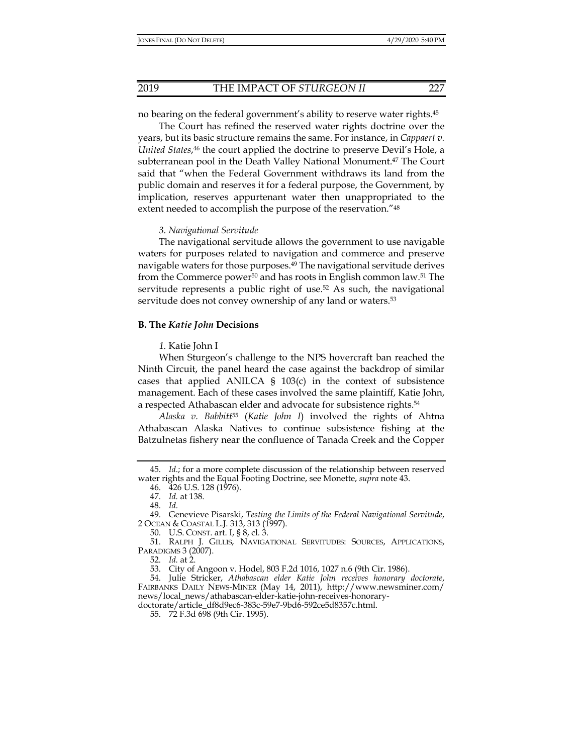no bearing on the federal government's ability to reserve water rights.45

The Court has refined the reserved water rights doctrine over the years, but its basic structure remains the same. For instance, in *Cappaert v.*  United States,<sup>46</sup> the court applied the doctrine to preserve Devil's Hole, a subterranean pool in the Death Valley National Monument.<sup>47</sup> The Court said that "when the Federal Government withdraws its land from the public domain and reserves it for a federal purpose, the Government, by implication, reserves appurtenant water then unappropriated to the extent needed to accomplish the purpose of the reservation."<sup>48</sup>

## *3. Navigational Servitude*

The navigational servitude allows the government to use navigable waters for purposes related to navigation and commerce and preserve navigable waters for those purposes.49 The navigational servitude derives from the Commerce power<sup>50</sup> and has roots in English common law.<sup>51</sup> The servitude represents a public right of use.52 As such, the navigational servitude does not convey ownership of any land or waters.53

## **B. The** *Katie John* **Decisions**

## *1.* Katie John I

When Sturgeon's challenge to the NPS hovercraft ban reached the Ninth Circuit, the panel heard the case against the backdrop of similar cases that applied ANILCA  $\S$  103(c) in the context of subsistence management. Each of these cases involved the same plaintiff, Katie John, a respected Athabascan elder and advocate for subsistence rights.54

*Alaska v. Babbitt*<sup>55</sup> (*Katie John I*) involved the rights of Ahtna Athabascan Alaska Natives to continue subsistence fishing at the Batzulnetas fishery near the confluence of Tanada Creek and the Copper

 <sup>45.</sup> *Id.*; for a more complete discussion of the relationship between reserved water rights and the Equal Footing Doctrine, see Monette, *supra* note 43.

 <sup>46. 426</sup> U.S. 128 (1976).

 <sup>47.</sup> *Id.* at 138.

 <sup>48.</sup> *Id.*

 <sup>49.</sup> Genevieve Pisarski, *Testing the Limits of the Federal Navigational Servitude*, 2 OCEAN & COASTAL L.J. 313, 313 (1997).

 <sup>50.</sup> U.S. CONST. art. I, § 8, cl. 3.

 <sup>51.</sup> RALPH J. GILLIS, NAVIGATIONAL SERVITUDES: SOURCES, APPLICATIONS, PARADIGMS 3 (2007).

 <sup>52.</sup> *Id.* at 2.

 <sup>53.</sup> City of Angoon v. Hodel, 803 F.2d 1016, 1027 n.6 (9th Cir. 1986).

 <sup>54.</sup> Julie Stricker, *Athabascan elder Katie John receives honorary doctorate*, FAIRBANKS DAILY NEWS-MINER (May 14, 2011), http://www.newsminer.com/ news/local\_news/athabascan-elder-katie-john-receives-honorarydoctorate/article\_df8d9ec6-383c-59e7-9bd6-592ce5d8357c.html.

 <sup>55. 72</sup> F.3d 698 (9th Cir. 1995).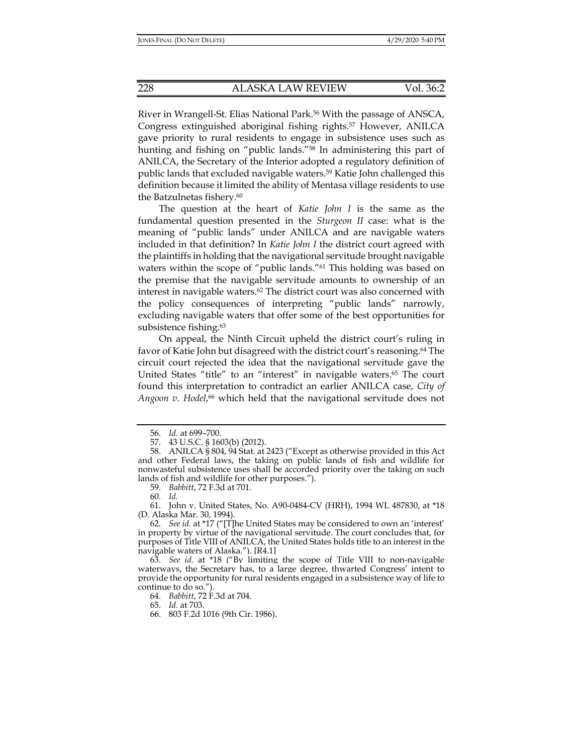River in Wrangell-St. Elias National Park.56 With the passage of ANSCA, Congress extinguished aboriginal fishing rights.57 However, ANILCA gave priority to rural residents to engage in subsistence uses such as hunting and fishing on "public lands."<sup>58</sup> In administering this part of ANILCA, the Secretary of the Interior adopted a regulatory definition of public lands that excluded navigable waters.59 Katie John challenged this definition because it limited the ability of Mentasa village residents to use the Batzulnetas fishery.<sup>60</sup>

The question at the heart of *Katie John I* is the same as the fundamental question presented in the *Sturgeon II* case: what is the meaning of "public lands" under ANILCA and are navigable waters included in that definition? In *Katie John I* the district court agreed with the plaintiffs in holding that the navigational servitude brought navigable waters within the scope of "public lands."61 This holding was based on the premise that the navigable servitude amounts to ownership of an interest in navigable waters.<sup>62</sup> The district court was also concerned with the policy consequences of interpreting "public lands" narrowly, excluding navigable waters that offer some of the best opportunities for subsistence fishing.<sup>63</sup>

On appeal, the Ninth Circuit upheld the district court's ruling in favor of Katie John but disagreed with the district court's reasoning.<sup>64</sup> The circuit court rejected the idea that the navigational servitude gave the United States "title" to an "interest" in navigable waters.<sup>65</sup> The court found this interpretation to contradict an earlier ANILCA case, *City of Angoon v. Hodel*, 66 which held that the navigational servitude does not

59. *Babbitt*, 72 F.3d at 701.

60. *Id.* 

64. *Babbitt*, 72 F.3d at 704.

65. *Id.* at 703.

66. 803 F.2d 1016 (9th Cir. 1986).

 <sup>56.</sup> *Id.* at 699–700.

 <sup>57. 43</sup> U.S.C. § 1603(b) (2012).

 <sup>58.</sup> ANILCA § 804, 94 Stat. at 2423 ("Except as otherwise provided in this Act and other Federal laws, the taking on public lands of fish and wildlife for nonwasteful subsistence uses shall be accorded priority over the taking on such lands of fish and wildlife for other purposes.").

 <sup>61.</sup> John v. United States, No. A90-0484-CV (HRH), 1994 WL 487830, at \*18 (D. Alaska Mar. 30, 1994).

 <sup>62.</sup> *See id.* at \*17 ("[T]he United States may be considered to own an 'interest' in property by virtue of the navigational servitude. The court concludes that, for purposes of Title VIII of ANILCA, the United States holds title to an interest in the navigable waters of Alaska."). [R4.1]

 <sup>63.</sup> *See id.* at \*18 ("By limiting the scope of Title VIII to non-navigable waterways, the Secretary has, to a large degree, thwarted Congress' intent to provide the opportunity for rural residents engaged in a subsistence way of life to continue to do so.").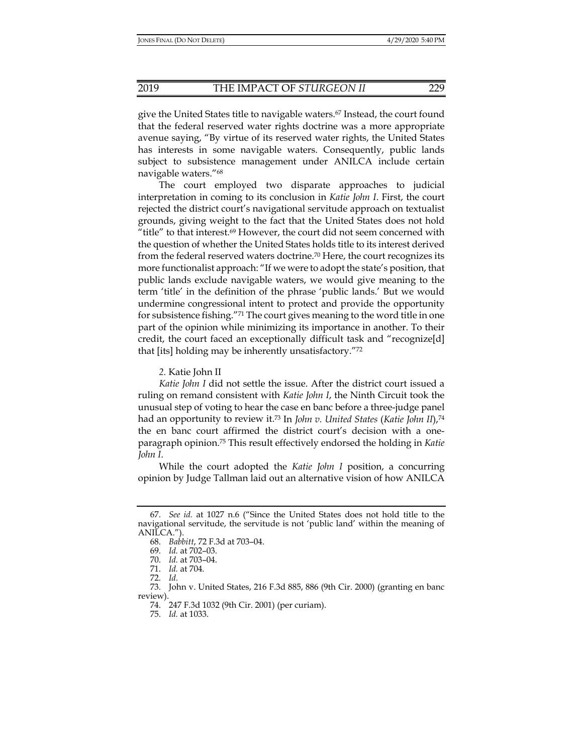give the United States title to navigable waters.67 Instead, the court found that the federal reserved water rights doctrine was a more appropriate avenue saying, "By virtue of its reserved water rights, the United States has interests in some navigable waters. Consequently, public lands subject to subsistence management under ANILCA include certain navigable waters."68

The court employed two disparate approaches to judicial interpretation in coming to its conclusion in *Katie John I*. First, the court rejected the district court's navigational servitude approach on textualist grounds, giving weight to the fact that the United States does not hold "title" to that interest.69 However, the court did not seem concerned with the question of whether the United States holds title to its interest derived from the federal reserved waters doctrine.70 Here, the court recognizes its more functionalist approach: "If we were to adopt the state's position, that public lands exclude navigable waters, we would give meaning to the term 'title' in the definition of the phrase 'public lands.' But we would undermine congressional intent to protect and provide the opportunity for subsistence fishing."71 The court gives meaning to the word title in one part of the opinion while minimizing its importance in another. To their credit, the court faced an exceptionally difficult task and "recognize[d] that [its] holding may be inherently unsatisfactory."72

*2.* Katie John II

*Katie John I* did not settle the issue. After the district court issued a ruling on remand consistent with *Katie John I*, the Ninth Circuit took the unusual step of voting to hear the case en banc before a three-judge panel had an opportunity to review it.73 In *John v. United States* (*Katie John II*),74 the en banc court affirmed the district court's decision with a oneparagraph opinion.75 This result effectively endorsed the holding in *Katie John I*.

While the court adopted the *Katie John I* position, a concurring opinion by Judge Tallman laid out an alternative vision of how ANILCA

 <sup>67.</sup> *See id.* at 1027 n.6 ("Since the United States does not hold title to the navigational servitude, the servitude is not 'public land' within the meaning of ANILCA.").

 <sup>68.</sup> *Babbitt*, 72 F.3d at 703–04.

 <sup>69.</sup> *Id.* at 702–03.

 <sup>70.</sup> *Id.* at 703–04.

 <sup>71.</sup> *Id.* at 704.

 <sup>72.</sup> *Id.*

 <sup>73.</sup> John v. United States, 216 F.3d 885, 886 (9th Cir. 2000) (granting en banc review).

 <sup>74. 247</sup> F.3d 1032 (9th Cir. 2001) (per curiam).

 <sup>75.</sup> *Id.* at 1033.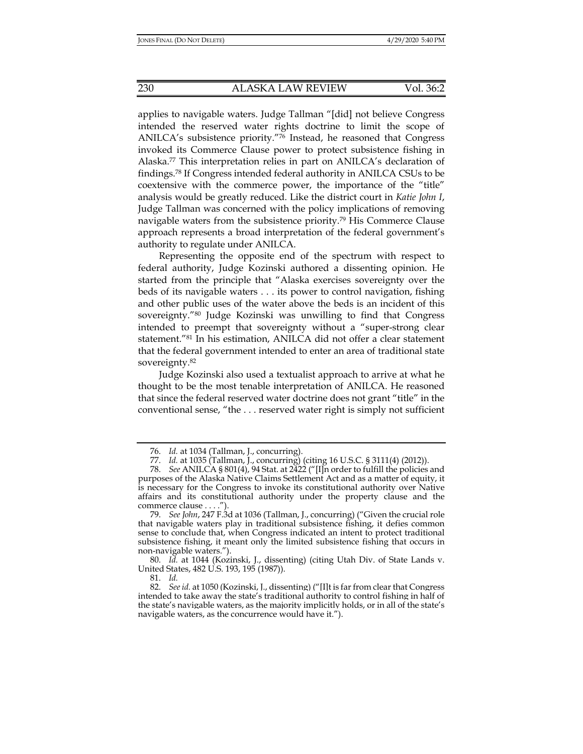applies to navigable waters. Judge Tallman "[did] not believe Congress intended the reserved water rights doctrine to limit the scope of ANILCA's subsistence priority."76 Instead, he reasoned that Congress invoked its Commerce Clause power to protect subsistence fishing in Alaska.77 This interpretation relies in part on ANILCA's declaration of findings.78 If Congress intended federal authority in ANILCA CSUs to be coextensive with the commerce power, the importance of the "title" analysis would be greatly reduced. Like the district court in *Katie John I*, Judge Tallman was concerned with the policy implications of removing navigable waters from the subsistence priority.79 His Commerce Clause approach represents a broad interpretation of the federal government's authority to regulate under ANILCA.

Representing the opposite end of the spectrum with respect to federal authority, Judge Kozinski authored a dissenting opinion. He started from the principle that "Alaska exercises sovereignty over the beds of its navigable waters . . . its power to control navigation, fishing and other public uses of the water above the beds is an incident of this sovereignty."80 Judge Kozinski was unwilling to find that Congress intended to preempt that sovereignty without a "super-strong clear statement."81 In his estimation, ANILCA did not offer a clear statement that the federal government intended to enter an area of traditional state sovereignty.82

Judge Kozinski also used a textualist approach to arrive at what he thought to be the most tenable interpretation of ANILCA. He reasoned that since the federal reserved water doctrine does not grant "title" in the conventional sense, "the . . . reserved water right is simply not sufficient

81. *Id.* 

 <sup>76.</sup> *Id.* at 1034 (Tallman, J., concurring).

 <sup>77.</sup> *Id.* at 1035 (Tallman, J., concurring) (citing 16 U.S.C. § 3111(4) (2012)).

 <sup>78.</sup> *See* ANILCA § 801(4), 94 Stat. at 2422 ("[I]n order to fulfill the policies and purposes of the Alaska Native Claims Settlement Act and as a matter of equity, it is necessary for the Congress to invoke its constitutional authority over Native affairs and its constitutional authority under the property clause and the commerce clause . . . .").

 <sup>79.</sup> *See John*, 247 F.3d at 1036 (Tallman, J., concurring) ("Given the crucial role that navigable waters play in traditional subsistence fishing, it defies common sense to conclude that, when Congress indicated an intent to protect traditional subsistence fishing, it meant only the limited subsistence fishing that occurs in non-navigable waters.").

 <sup>80.</sup> *Id.* at 1044 (Kozinski, J., dissenting) (citing Utah Div. of State Lands v. United States, 482 U.S. 193, 195 (1987)).

 <sup>82.</sup> *See id.* at 1050 (Kozinski, J., dissenting) ("[I]t is far from clear that Congress intended to take away the state's traditional authority to control fishing in half of the state's navigable waters, as the majority implicitly holds, or in all of the state's navigable waters, as the concurrence would have it.").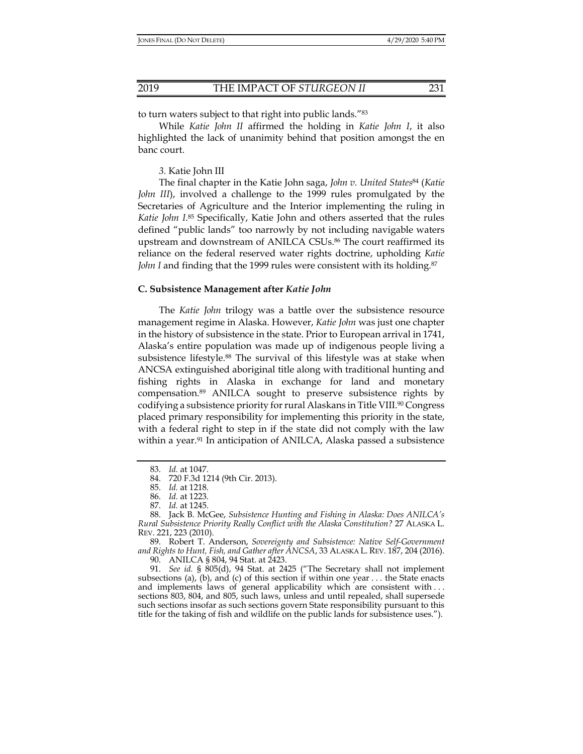to turn waters subject to that right into public lands."83

While *Katie John II* affirmed the holding in *Katie John I*, it also highlighted the lack of unanimity behind that position amongst the en banc court.

## *3.* Katie John III

The final chapter in the Katie John saga, *John v. United States*84 (*Katie John III*), involved a challenge to the 1999 rules promulgated by the Secretaries of Agriculture and the Interior implementing the ruling in *Katie John I*. 85 Specifically, Katie John and others asserted that the rules defined "public lands" too narrowly by not including navigable waters upstream and downstream of ANILCA CSUs.86 The court reaffirmed its reliance on the federal reserved water rights doctrine, upholding *Katie John I* and finding that the 1999 rules were consistent with its holding.<sup>87</sup>

#### **C. Subsistence Management after** *Katie John*

The *Katie John* trilogy was a battle over the subsistence resource management regime in Alaska. However, *Katie John* was just one chapter in the history of subsistence in the state. Prior to European arrival in 1741, Alaska's entire population was made up of indigenous people living a subsistence lifestyle.88 The survival of this lifestyle was at stake when ANCSA extinguished aboriginal title along with traditional hunting and fishing rights in Alaska in exchange for land and monetary compensation.89 ANILCA sought to preserve subsistence rights by codifying a subsistence priority for rural Alaskans in Title VIII.<sup>90</sup> Congress placed primary responsibility for implementing this priority in the state, with a federal right to step in if the state did not comply with the law within a year.<sup>91</sup> In anticipation of ANILCA, Alaska passed a subsistence

 89. Robert T. Anderson, *Sovereignty and Subsistence: Native Self-Government and Rights to Hunt, Fish, and Gather after ANCSA*, 33 ALASKA L. REV. 187, 204 (2016). 90. ANILCA § 804, 94 Stat. at 2423.

 91. *See id.* § 805(d), 94 Stat. at 2425 ("The Secretary shall not implement subsections (a), (b), and (c) of this section if within one year  $\dots$  the State enacts and implements laws of general applicability which are consistent with . . . sections 803, 804, and 805, such laws, unless and until repealed, shall supersede such sections insofar as such sections govern State responsibility pursuant to this title for the taking of fish and wildlife on the public lands for subsistence uses.").

 <sup>83.</sup> *Id.* at 1047.

 <sup>84. 720</sup> F.3d 1214 (9th Cir. 2013).

 <sup>85.</sup> *Id.* at 1218.

 <sup>86.</sup> *Id.* at 1223.

 <sup>87.</sup> *Id.* at 1245.

 <sup>88.</sup> Jack B. McGee, *Subsistence Hunting and Fishing in Alaska: Does ANILCA's Rural Subsistence Priority Really Conflict with the Alaska Constitution?* 27 ALASKA L. REV. 221, 223 (2010).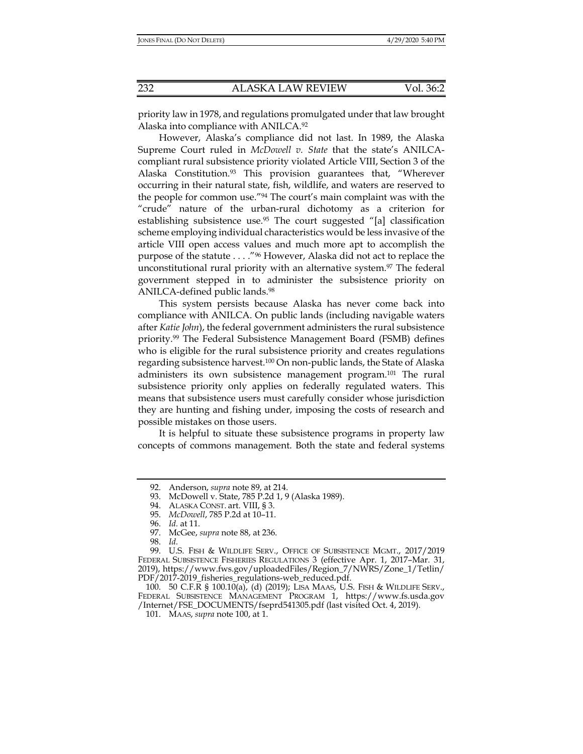priority law in 1978, and regulations promulgated under that law brought Alaska into compliance with ANILCA.92

However, Alaska's compliance did not last. In 1989, the Alaska Supreme Court ruled in *McDowell v. State* that the state's ANILCAcompliant rural subsistence priority violated Article VIII, Section 3 of the Alaska Constitution.93 This provision guarantees that, "Wherever occurring in their natural state, fish, wildlife, and waters are reserved to the people for common use."94 The court's main complaint was with the "crude" nature of the urban-rural dichotomy as a criterion for establishing subsistence use.95 The court suggested "[a] classification scheme employing individual characteristics would be less invasive of the article VIII open access values and much more apt to accomplish the purpose of the statute . . . ."96 However, Alaska did not act to replace the unconstitutional rural priority with an alternative system.<sup>97</sup> The federal government stepped in to administer the subsistence priority on ANILCA-defined public lands.98

This system persists because Alaska has never come back into compliance with ANILCA. On public lands (including navigable waters after *Katie John*), the federal government administers the rural subsistence priority.99 The Federal Subsistence Management Board (FSMB) defines who is eligible for the rural subsistence priority and creates regulations regarding subsistence harvest.100 On non-public lands, the State of Alaska administers its own subsistence management program.101 The rural subsistence priority only applies on federally regulated waters. This means that subsistence users must carefully consider whose jurisdiction they are hunting and fishing under, imposing the costs of research and possible mistakes on those users.

It is helpful to situate these subsistence programs in property law concepts of commons management. Both the state and federal systems

 <sup>92.</sup> Anderson, *supra* note 89, at 214.

 <sup>93.</sup> McDowell v. State, 785 P.2d 1, 9 (Alaska 1989).

 <sup>94.</sup> ALASKA CONST. art. VIII, § 3.

 <sup>95.</sup> *McDowell*, 785 P.2d at 10–11.

 <sup>96.</sup> *Id.* at 11.

 <sup>97.</sup> McGee, *supra* note 88, at 236.

 <sup>98.</sup> *Id.*

 <sup>99.</sup> U.S. FISH & WILDLIFE SERV., OFFICE OF SUBSISTENCE MGMT., 2017/2019 FEDERAL SUBSISTENCE FISHERIES REGULATIONS 3 (effective Apr. 1, 2017–Mar. 31, 2019), https://www.fws.gov/uploadedFiles/Region\_7/NWRS/Zone\_1/Tetlin/ PDF/2017-2019\_fisheries\_regulations-web\_reduced.pdf.

 <sup>100. 50</sup> C.F.R § 100.10(a), (d) (2019); LISA MAAS, U.S. FISH & WILDLIFE SERV., FEDERAL SUBSISTENCE MANAGEMENT PROGRAM 1, https://www.fs.usda.gov /Internet/FSE\_DOCUMENTS/fseprd541305.pdf (last visited Oct. 4, 2019).

 <sup>101.</sup> MAAS, *supra* note 100, at 1.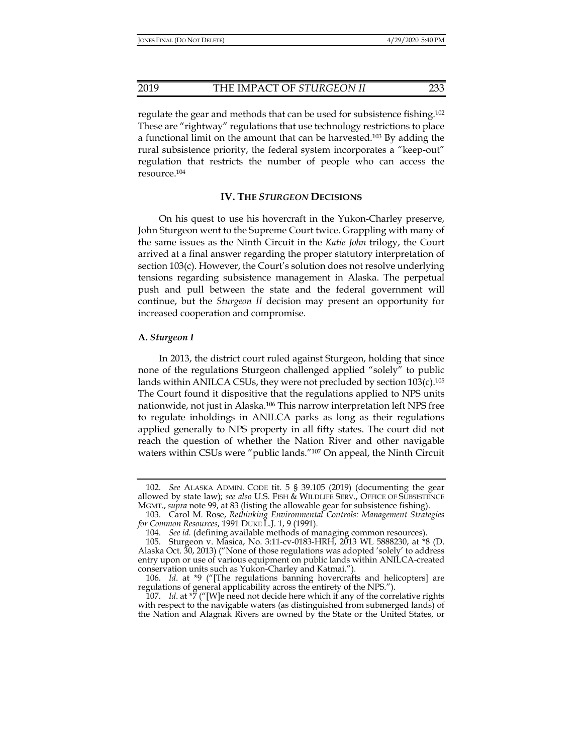regulate the gear and methods that can be used for subsistence fishing.102 These are "rightway" regulations that use technology restrictions to place a functional limit on the amount that can be harvested.<sup>103</sup> By adding the rural subsistence priority, the federal system incorporates a "keep-out" regulation that restricts the number of people who can access the resource.104

# **IV. THE** *STURGEON* **DECISIONS**

On his quest to use his hovercraft in the Yukon-Charley preserve, John Sturgeon went to the Supreme Court twice. Grappling with many of the same issues as the Ninth Circuit in the *Katie John* trilogy, the Court arrived at a final answer regarding the proper statutory interpretation of section 103(c). However, the Court's solution does not resolve underlying tensions regarding subsistence management in Alaska. The perpetual push and pull between the state and the federal government will continue, but the *Sturgeon II* decision may present an opportunity for increased cooperation and compromise.

#### **A.** *Sturgeon I*

In 2013, the district court ruled against Sturgeon, holding that since none of the regulations Sturgeon challenged applied "solely" to public lands within ANILCA CSUs, they were not precluded by section  $103(c).^{105}$ The Court found it dispositive that the regulations applied to NPS units nationwide, not just in Alaska.106 This narrow interpretation left NPS free to regulate inholdings in ANILCA parks as long as their regulations applied generally to NPS property in all fifty states. The court did not reach the question of whether the Nation River and other navigable waters within CSUs were "public lands."107 On appeal, the Ninth Circuit

 <sup>102.</sup> *See* ALASKA ADMIN. CODE tit. 5 § 39.105 (2019) (documenting the gear allowed by state law); *see also* U.S. FISH & WILDLIFE SERV., OFFICE OF SUBSISTENCE MGMT., *supra* note 99, at 83 (listing the allowable gear for subsistence fishing).

 <sup>103.</sup> Carol M. Rose, *Rethinking Environmental Controls: Management Strategies for Common Resources*, 1991 DUKE L.J. 1, 9 (1991).

 <sup>104.</sup> *See id.* (defining available methods of managing common resources).

 <sup>105.</sup> Sturgeon v. Masica, No. 3:11-cv-0183-HRH, 2013 WL 5888230, at \*8 (D. Alaska Oct. 30, 2013) ("None of those regulations was adopted 'solely' to address entry upon or use of various equipment on public lands within ANILCA-created conservation units such as Yukon-Charley and Katmai.").

 <sup>106.</sup> *Id*. at \*9 ("[The regulations banning hovercrafts and helicopters] are regulations of general applicability across the entirety of the NPS.").

 <sup>107.</sup> *Id*. at \*7 ("[W]e need not decide here which if any of the correlative rights with respect to the navigable waters (as distinguished from submerged lands) of the Nation and Alagnak Rivers are owned by the State or the United States, or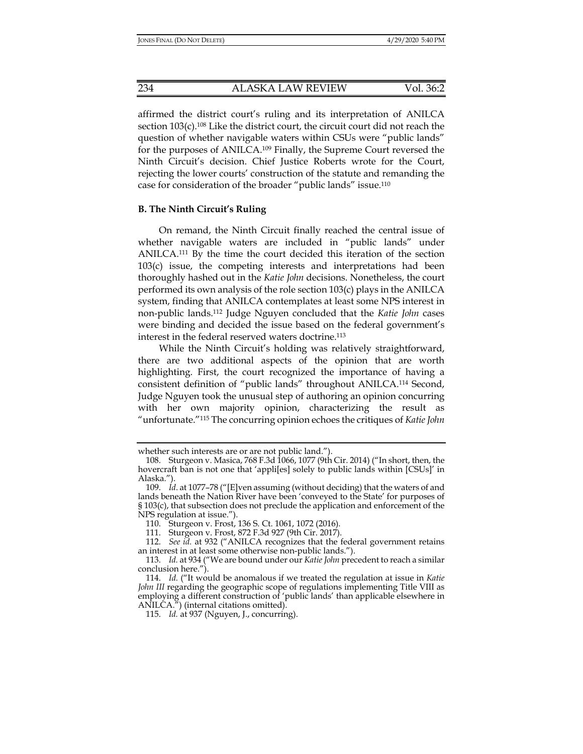affirmed the district court's ruling and its interpretation of ANILCA section 103(c).<sup>108</sup> Like the district court, the circuit court did not reach the question of whether navigable waters within CSUs were "public lands" for the purposes of ANILCA.109 Finally, the Supreme Court reversed the Ninth Circuit's decision. Chief Justice Roberts wrote for the Court, rejecting the lower courts' construction of the statute and remanding the case for consideration of the broader "public lands" issue.110

# **B. The Ninth Circuit's Ruling**

On remand, the Ninth Circuit finally reached the central issue of whether navigable waters are included in "public lands" under ANILCA.111 By the time the court decided this iteration of the section 103(c) issue, the competing interests and interpretations had been thoroughly hashed out in the *Katie John* decisions. Nonetheless, the court performed its own analysis of the role section 103(c) plays in the ANILCA system, finding that ANILCA contemplates at least some NPS interest in non-public lands.112 Judge Nguyen concluded that the *Katie John* cases were binding and decided the issue based on the federal government's interest in the federal reserved waters doctrine.113

While the Ninth Circuit's holding was relatively straightforward, there are two additional aspects of the opinion that are worth highlighting. First, the court recognized the importance of having a consistent definition of "public lands" throughout ANILCA.114 Second, Judge Nguyen took the unusual step of authoring an opinion concurring with her own majority opinion, characterizing the result as "unfortunate."115 The concurring opinion echoes the critiques of *Katie John* 

whether such interests are or are not public land.").

 <sup>108.</sup> Sturgeon v. Masica, 768 F.3d 1066, 1077 (9th Cir. 2014) ("In short, then, the hovercraft ban is not one that 'appli[es] solely to public lands within [CSUs]' in Alaska.").

 <sup>109.</sup> *Id*. at 1077–78 ("[E]ven assuming (without deciding) that the waters of and lands beneath the Nation River have been 'conveyed to the State' for purposes of § 103(c), that subsection does not preclude the application and enforcement of the NPS regulation at issue.").

 <sup>110.</sup> Sturgeon v. Frost, 136 S. Ct. 1061, 1072 (2016).

 <sup>111.</sup> Sturgeon v. Frost, 872 F.3d 927 (9th Cir. 2017).

 <sup>112.</sup> *See id.* at 932 ("ANILCA recognizes that the federal government retains an interest in at least some otherwise non-public lands.").

 <sup>113.</sup> *Id.* at 934 ("We are bound under our *Katie John* precedent to reach a similar conclusion here.").

 <sup>114.</sup> *Id.* ("It would be anomalous if we treated the regulation at issue in *Katie John III* regarding the geographic scope of regulations implementing Title VIII as employing a different construction of 'public lands' than applicable elsewhere in ANILCA.") (internal citations omitted).

 <sup>115.</sup> *Id.* at 937 (Nguyen, J., concurring).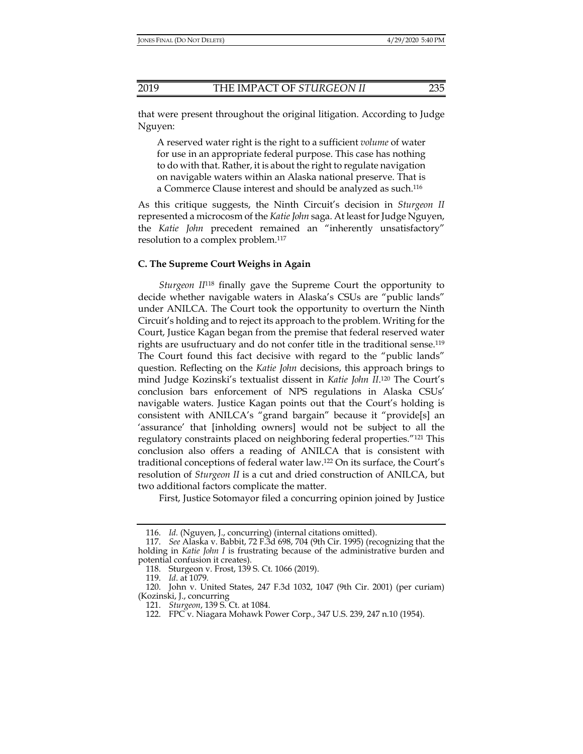that were present throughout the original litigation. According to Judge Nguyen:

A reserved water right is the right to a sufficient *volume* of water for use in an appropriate federal purpose. This case has nothing to do with that. Rather, it is about the right to regulate navigation on navigable waters within an Alaska national preserve. That is a Commerce Clause interest and should be analyzed as such.116

As this critique suggests, the Ninth Circuit's decision in *Sturgeon II* represented a microcosm of the *Katie John* saga. At least for Judge Nguyen, the *Katie John* precedent remained an "inherently unsatisfactory" resolution to a complex problem.117

# **C. The Supreme Court Weighs in Again**

*Sturgeon II*118 finally gave the Supreme Court the opportunity to decide whether navigable waters in Alaska's CSUs are "public lands" under ANILCA. The Court took the opportunity to overturn the Ninth Circuit's holding and to reject its approach to the problem. Writing for the Court, Justice Kagan began from the premise that federal reserved water rights are usufructuary and do not confer title in the traditional sense.<sup>119</sup> The Court found this fact decisive with regard to the "public lands" question. Reflecting on the *Katie John* decisions, this approach brings to mind Judge Kozinski's textualist dissent in *Katie John II*. 120 The Court's conclusion bars enforcement of NPS regulations in Alaska CSUs' navigable waters. Justice Kagan points out that the Court's holding is consistent with ANILCA's "grand bargain" because it "provide[s] an 'assurance' that [inholding owners] would not be subject to all the regulatory constraints placed on neighboring federal properties."121 This conclusion also offers a reading of ANILCA that is consistent with traditional conceptions of federal water law.122 On its surface, the Court's resolution of *Sturgeon II* is a cut and dried construction of ANILCA, but two additional factors complicate the matter.

First, Justice Sotomayor filed a concurring opinion joined by Justice

 <sup>116.</sup> *Id.* (Nguyen, J., concurring) (internal citations omitted).

 <sup>117.</sup> *See* Alaska v. Babbit, 72 F.3d 698, 704 (9th Cir. 1995) (recognizing that the holding in *Katie John I* is frustrating because of the administrative burden and potential confusion it creates).

 <sup>118.</sup> Sturgeon v. Frost, 139 S. Ct. 1066 (2019).

 <sup>119.</sup> *Id*. at 1079.

 <sup>120.</sup> John v. United States, 247 F.3d 1032, 1047 (9th Cir. 2001) (per curiam) (Kozinski, J., concurring

 <sup>121.</sup> *Sturgeon*, 139 S. Ct. at 1084.

 <sup>122.</sup> FPC v. Niagara Mohawk Power Corp., 347 U.S. 239, 247 n.10 (1954).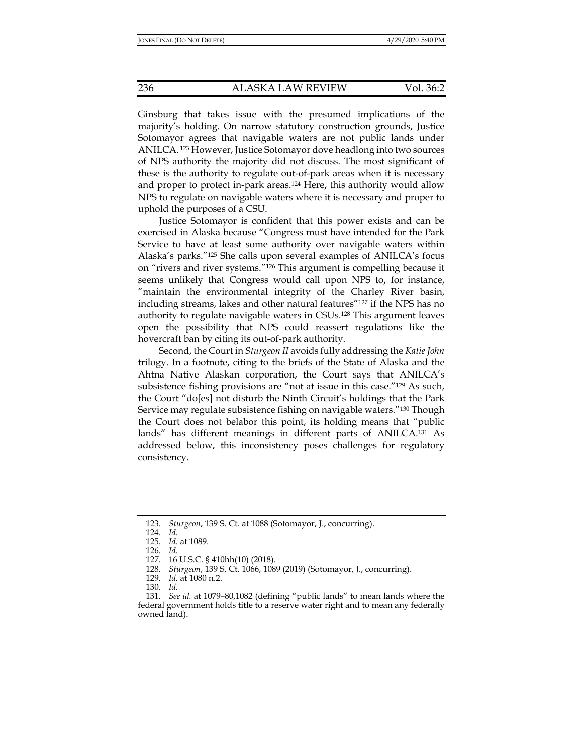Ginsburg that takes issue with the presumed implications of the majority's holding. On narrow statutory construction grounds, Justice Sotomayor agrees that navigable waters are not public lands under ANILCA. 123 However, Justice Sotomayor dove headlong into two sources of NPS authority the majority did not discuss. The most significant of these is the authority to regulate out-of-park areas when it is necessary and proper to protect in-park areas.124 Here, this authority would allow NPS to regulate on navigable waters where it is necessary and proper to uphold the purposes of a CSU.

Justice Sotomayor is confident that this power exists and can be exercised in Alaska because "Congress must have intended for the Park Service to have at least some authority over navigable waters within Alaska's parks."125 She calls upon several examples of ANILCA's focus on "rivers and river systems."126 This argument is compelling because it seems unlikely that Congress would call upon NPS to, for instance, "maintain the environmental integrity of the Charley River basin, including streams, lakes and other natural features"127 if the NPS has no authority to regulate navigable waters in CSUs.128 This argument leaves open the possibility that NPS could reassert regulations like the hovercraft ban by citing its out-of-park authority.

Second, the Court in *Sturgeon II* avoids fully addressing the *Katie John*  trilogy. In a footnote, citing to the briefs of the State of Alaska and the Ahtna Native Alaskan corporation, the Court says that ANILCA's subsistence fishing provisions are "not at issue in this case."129 As such, the Court "do[es] not disturb the Ninth Circuit's holdings that the Park Service may regulate subsistence fishing on navigable waters."130 Though the Court does not belabor this point, its holding means that "public lands" has different meanings in different parts of ANILCA.131 As addressed below, this inconsistency poses challenges for regulatory consistency.

 <sup>123.</sup> *Sturgeon*, 139 S. Ct. at 1088 (Sotomayor, J., concurring).

 <sup>124.</sup> *Id.*

 <sup>125.</sup> *Id.* at 1089.

 <sup>126.</sup> *Id.*

 <sup>127. 16</sup> U.S.C. § 410hh(10) (2018).

 <sup>128.</sup> *Sturgeon*, 139 S. Ct. 1066, 1089 (2019) (Sotomayor, J., concurring).

 <sup>129.</sup> *Id.* at 1080 n.2.

 <sup>130.</sup> *Id.*

 <sup>131.</sup> *See id.* at 1079–80,1082 (defining "public lands" to mean lands where the federal government holds title to a reserve water right and to mean any federally owned land).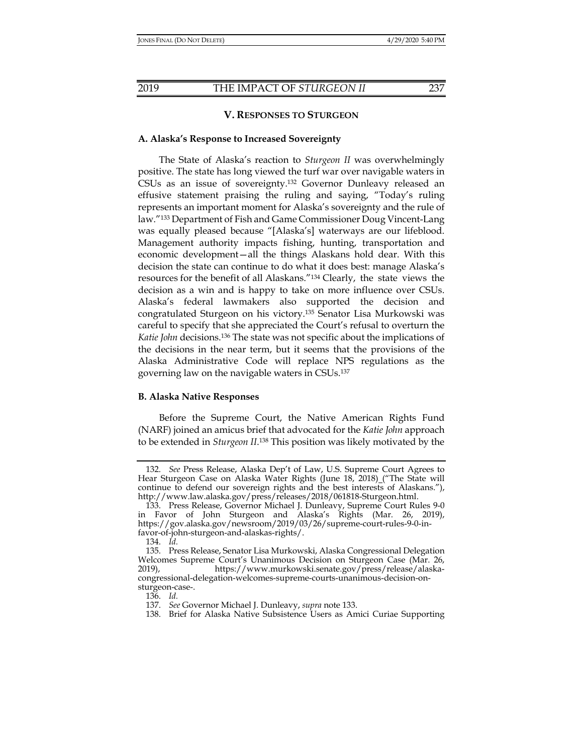# **V. RESPONSES TO STURGEON**

# **A. Alaska's Response to Increased Sovereignty**

The State of Alaska's reaction to *Sturgeon II* was overwhelmingly positive. The state has long viewed the turf war over navigable waters in CSUs as an issue of sovereignty.132 Governor Dunleavy released an effusive statement praising the ruling and saying, "Today's ruling represents an important moment for Alaska's sovereignty and the rule of law."133 Department of Fish and Game Commissioner Doug Vincent-Lang was equally pleased because "[Alaska's] waterways are our lifeblood. Management authority impacts fishing, hunting, transportation and economic development—all the things Alaskans hold dear. With this decision the state can continue to do what it does best: manage Alaska's resources for the benefit of all Alaskans."134 Clearly, the state views the decision as a win and is happy to take on more influence over CSUs. Alaska's federal lawmakers also supported the decision and congratulated Sturgeon on his victory.135 Senator Lisa Murkowski was careful to specify that she appreciated the Court's refusal to overturn the *Katie John* decisions.136 The state was not specific about the implications of the decisions in the near term, but it seems that the provisions of the Alaska Administrative Code will replace NPS regulations as the governing law on the navigable waters in CSUs.137

# **B. Alaska Native Responses**

Before the Supreme Court, the Native American Rights Fund (NARF) joined an amicus brief that advocated for the *Katie John* approach to be extended in *Sturgeon II*. 138 This position was likely motivated by the

 <sup>132.</sup> *See* Press Release, Alaska Dep't of Law, U.S. Supreme Court Agrees to Hear Sturgeon Case on Alaska Water Rights (June 18, 2018) ("The State will continue to defend our sovereign rights and the best interests of Alaskans."), http://www.law.alaska.gov/press/releases/2018/061818-Sturgeon.html.

 <sup>133.</sup> Press Release, Governor Michael J. Dunleavy, Supreme Court Rules 9-0 in Favor of John Sturgeon and Alaska's Rights (Mar. 26, 2019), https://gov.alaska.gov/newsroom/2019/03/26/supreme-court-rules-9-0-infavor-of-john-sturgeon-and-alaskas-rights/.

 <sup>134.</sup> *Id.*

 <sup>135.</sup> Press Release, Senator Lisa Murkowski, Alaska Congressional Delegation Welcomes Supreme Court's Unanimous Decision on Sturgeon Case (Mar. 26, 2019), https://www.murkowski.senate.gov/press/release/alaskacongressional-delegation-welcomes-supreme-courts-unanimous-decision-onsturgeon-case-.

 <sup>136.</sup> *Id.*

 <sup>137.</sup> *See* Governor Michael J. Dunleavy, *supra* note 133.

 <sup>138.</sup> Brief for Alaska Native Subsistence Users as Amici Curiae Supporting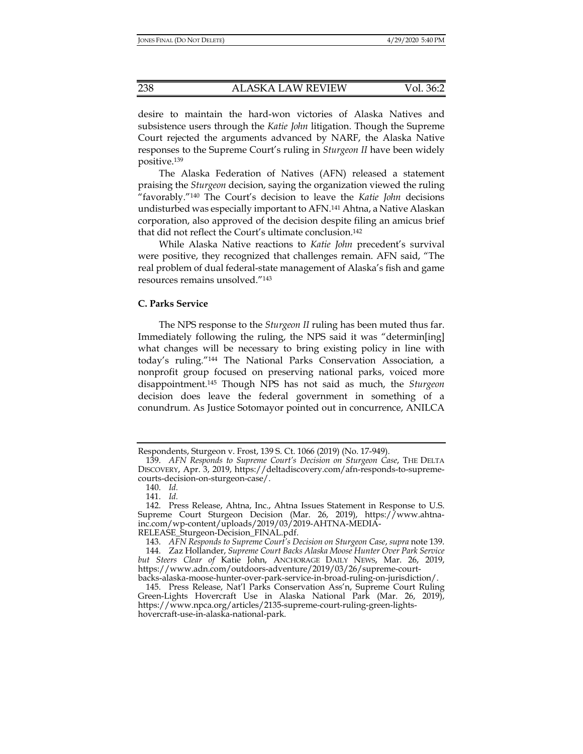desire to maintain the hard-won victories of Alaska Natives and subsistence users through the *Katie John* litigation. Though the Supreme Court rejected the arguments advanced by NARF, the Alaska Native responses to the Supreme Court's ruling in *Sturgeon II* have been widely positive.139

The Alaska Federation of Natives (AFN) released a statement praising the *Sturgeon* decision, saying the organization viewed the ruling "favorably."140 The Court's decision to leave the *Katie John* decisions undisturbed was especially important to AFN.141 Ahtna, a Native Alaskan corporation, also approved of the decision despite filing an amicus brief that did not reflect the Court's ultimate conclusion.142

While Alaska Native reactions to *Katie John* precedent's survival were positive, they recognized that challenges remain. AFN said, "The real problem of dual federal-state management of Alaska's fish and game resources remains unsolved."143

# **C. Parks Service**

The NPS response to the *Sturgeon II* ruling has been muted thus far. Immediately following the ruling, the NPS said it was "determin[ing] what changes will be necessary to bring existing policy in line with today's ruling."144 The National Parks Conservation Association, a nonprofit group focused on preserving national parks, voiced more disappointment.145 Though NPS has not said as much, the *Sturgeon* decision does leave the federal government in something of a conundrum. As Justice Sotomayor pointed out in concurrence, ANILCA

Respondents, Sturgeon v. Frost, 139 S. Ct. 1066 (2019) (No. 17-949).

 <sup>139.</sup> *AFN Responds to Supreme Court's Decision on Sturgeon Case*, THE DELTA DISCOVERY, Apr. 3, 2019, https://deltadiscovery.com/afn-responds-to-supremecourts-decision-on-sturgeon-case/.

 <sup>140.</sup> *Id.*

 <sup>141.</sup> *Id.*

 <sup>142.</sup> Press Release, Ahtna, Inc., Ahtna Issues Statement in Response to U.S. Supreme Court Sturgeon Decision (Mar. 26, 2019), https://www.ahtnainc.com/wp-content/uploads/2019/03/2019-AHTNA-MEDIA-RELEASE\_Sturgeon-Decision\_FINAL.pdf.

 <sup>143.</sup> *AFN Responds to Supreme Court's Decision on Sturgeon Case*, *supra* note 139.

 <sup>144.</sup> Zaz Hollander, *Supreme Court Backs Alaska Moose Hunter Over Park Service but Steers Clear of* Katie John, ANCHORAGE DAILY NEWS, Mar. 26, 2019, https://www.adn.com/outdoors-adventure/2019/03/26/supreme-court-

backs-alaska-moose-hunter-over-park-service-in-broad-ruling-on-jurisdiction/. 145. Press Release, Nat'l Parks Conservation Ass'n, Supreme Court Ruling Green-Lights Hovercraft Use in Alaska National Park (Mar. 26, 2019), https://www.npca.org/articles/2135-supreme-court-ruling-green-lightshovercraft-use-in-alaska-national-park.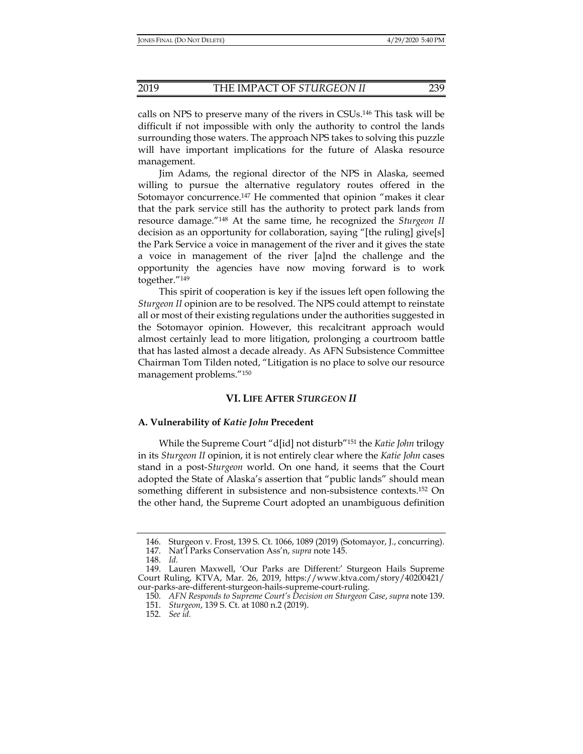calls on NPS to preserve many of the rivers in CSUs.146 This task will be difficult if not impossible with only the authority to control the lands surrounding those waters. The approach NPS takes to solving this puzzle will have important implications for the future of Alaska resource management.

Jim Adams, the regional director of the NPS in Alaska, seemed willing to pursue the alternative regulatory routes offered in the Sotomayor concurrence.147 He commented that opinion "makes it clear that the park service still has the authority to protect park lands from resource damage."148 At the same time, he recognized the *Sturgeon II* decision as an opportunity for collaboration, saying "[the ruling] give[s] the Park Service a voice in management of the river and it gives the state a voice in management of the river [a]nd the challenge and the opportunity the agencies have now moving forward is to work together."149

This spirit of cooperation is key if the issues left open following the *Sturgeon II* opinion are to be resolved. The NPS could attempt to reinstate all or most of their existing regulations under the authorities suggested in the Sotomayor opinion. However, this recalcitrant approach would almost certainly lead to more litigation, prolonging a courtroom battle that has lasted almost a decade already. As AFN Subsistence Committee Chairman Tom Tilden noted, "Litigation is no place to solve our resource management problems."150

# **VI. LIFE AFTER** *STURGEON II*

## **A. Vulnerability of** *Katie John* **Precedent**

While the Supreme Court "d[id] not disturb"151 the *Katie John* trilogy in its *Sturgeon II* opinion, it is not entirely clear where the *Katie John* cases stand in a post-*Sturgeon* world. On one hand, it seems that the Court adopted the State of Alaska's assertion that "public lands" should mean something different in subsistence and non-subsistence contexts.152 On the other hand, the Supreme Court adopted an unambiguous definition

 <sup>146.</sup> Sturgeon v. Frost, 139 S. Ct. 1066, 1089 (2019) (Sotomayor, J., concurring).

 <sup>147.</sup> Nat'l Parks Conservation Ass'n, *supra* note 145.

 <sup>148.</sup> *Id.*

 <sup>149.</sup> Lauren Maxwell, 'Our Parks are Different:' Sturgeon Hails Supreme Court Ruling, KTVA, Mar. 26, 2019, https://www.ktva.com/story/40200421/ our-parks-are-different-sturgeon-hails-supreme-court-ruling.

 <sup>150.</sup> *AFN Responds to Supreme Court's Decision on Sturgeon Case*, *supra* note 139.

 <sup>151.</sup> *Sturgeon*, 139 S. Ct. at 1080 n.2 (2019).

 <sup>152.</sup> *See id.*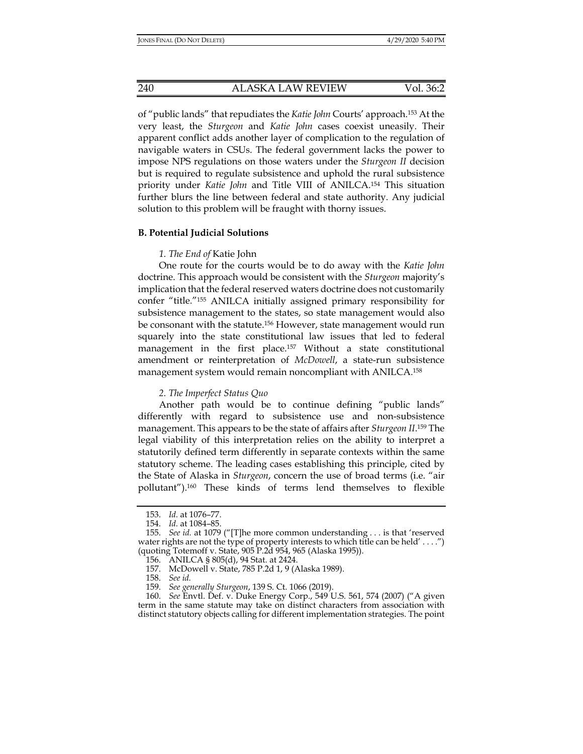of "public lands" that repudiates the *Katie John* Courts' approach.153 At the very least, the *Sturgeon* and *Katie John* cases coexist uneasily. Their apparent conflict adds another layer of complication to the regulation of navigable waters in CSUs. The federal government lacks the power to impose NPS regulations on those waters under the *Sturgeon II* decision but is required to regulate subsistence and uphold the rural subsistence priority under *Katie John* and Title VIII of ANILCA.154 This situation further blurs the line between federal and state authority. Any judicial solution to this problem will be fraught with thorny issues.

## **B. Potential Judicial Solutions**

# *1. The End of* Katie John

One route for the courts would be to do away with the *Katie John* doctrine. This approach would be consistent with the *Sturgeon* majority's implication that the federal reserved waters doctrine does not customarily confer "title."155 ANILCA initially assigned primary responsibility for subsistence management to the states, so state management would also be consonant with the statute.<sup>156</sup> However, state management would run squarely into the state constitutional law issues that led to federal management in the first place.157 Without a state constitutional amendment or reinterpretation of *McDowell*, a state-run subsistence management system would remain noncompliant with ANILCA.158

## *2. The Imperfect Status Quo*

Another path would be to continue defining "public lands" differently with regard to subsistence use and non-subsistence management. This appears to be the state of affairs after *Sturgeon II*. 159 The legal viability of this interpretation relies on the ability to interpret a statutorily defined term differently in separate contexts within the same statutory scheme. The leading cases establishing this principle, cited by the State of Alaska in *Sturgeon*, concern the use of broad terms (i.e. "air pollutant").160 These kinds of terms lend themselves to flexible

 <sup>153.</sup> *Id.* at 1076–77.

 <sup>154.</sup> *Id.* at 1084–85.

 <sup>155.</sup> *See id.* at 1079 ("[T]he more common understanding . . . is that 'reserved water rights are not the type of property interests to which title can be held' . . . .") (quoting Totemoff v. State, 905 P.2d 954, 965 (Alaska 1995)).

 <sup>156.</sup> ANILCA § 805(d), 94 Stat. at 2424.

 <sup>157.</sup> McDowell v. State, 785 P.2d 1, 9 (Alaska 1989).

 <sup>158.</sup> *See id.*

 <sup>159.</sup> *See generally Sturgeon*, 139 S. Ct. 1066 (2019).

 <sup>160.</sup> *See* Envtl. Def. v. Duke Energy Corp., 549 U.S. 561, 574 (2007) ("A given term in the same statute may take on distinct characters from association with distinct statutory objects calling for different implementation strategies. The point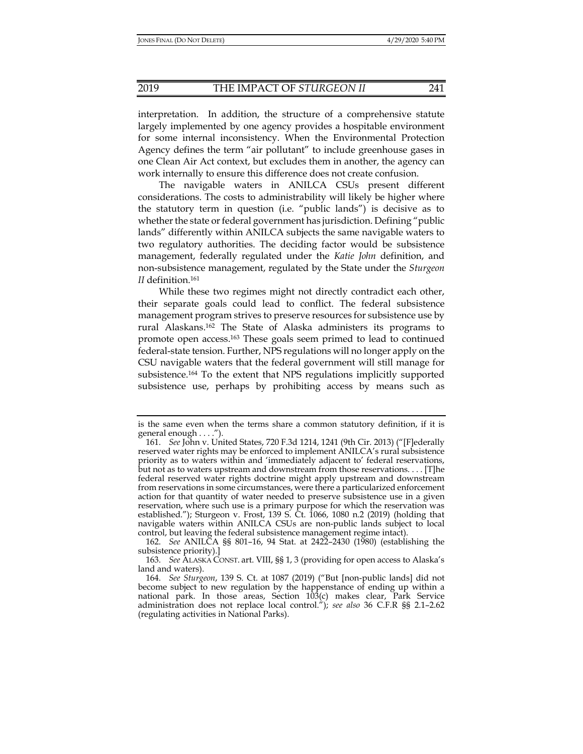interpretation. In addition, the structure of a comprehensive statute largely implemented by one agency provides a hospitable environment for some internal inconsistency. When the Environmental Protection Agency defines the term "air pollutant" to include greenhouse gases in one Clean Air Act context, but excludes them in another, the agency can work internally to ensure this difference does not create confusion.

The navigable waters in ANILCA CSUs present different considerations. The costs to administrability will likely be higher where the statutory term in question (i.e. "public lands") is decisive as to whether the state or federal government has jurisdiction. Defining "public lands" differently within ANILCA subjects the same navigable waters to two regulatory authorities. The deciding factor would be subsistence management, federally regulated under the *Katie John* definition, and non-subsistence management, regulated by the State under the *Sturgeon II* definition.161

While these two regimes might not directly contradict each other, their separate goals could lead to conflict. The federal subsistence management program strives to preserve resources for subsistence use by rural Alaskans.162 The State of Alaska administers its programs to promote open access.163 These goals seem primed to lead to continued federal-state tension. Further, NPS regulations will no longer apply on the CSU navigable waters that the federal government will still manage for subsistence.164 To the extent that NPS regulations implicitly supported subsistence use, perhaps by prohibiting access by means such as

is the same even when the terms share a common statutory definition, if it is general enough . . . .").

 <sup>161.</sup> *See* John v. United States, 720 F.3d 1214, 1241 (9th Cir. 2013) ("[F]ederally reserved water rights may be enforced to implement ANILCA's rural subsistence priority as to waters within and 'immediately adjacent to' federal reservations, but not as to waters upstream and downstream from those reservations. . . . [T]he federal reserved water rights doctrine might apply upstream and downstream from reservations in some circumstances, were there a particularized enforcement action for that quantity of water needed to preserve subsistence use in a given reservation, where such use is a primary purpose for which the reservation was established."); Sturgeon v. Frost, 139 S. Ct. 1066, 1080 n.2 (2019) (holding that navigable waters within ANILCA CSUs are non-public lands subject to local control, but leaving the federal subsistence management regime intact).

 <sup>162.</sup> *See* ANILCA §§ 801–16, 94 Stat. at 2422–2430 (1980) (establishing the subsistence priority).]

 <sup>163.</sup> *See* ALASKA CONST. art. VIII, §§ 1, 3 (providing for open access to Alaska's land and waters).

 <sup>164.</sup> *See Sturgeon*, 139 S. Ct. at 1087 (2019) ("But [non-public lands] did not become subject to new regulation by the happenstance of ending up within a national park. In those areas, Section 103(c) makes clear, Park Service administration does not replace local control."); *see also* 36 C.F.R §§ 2.1–2.62 (regulating activities in National Parks).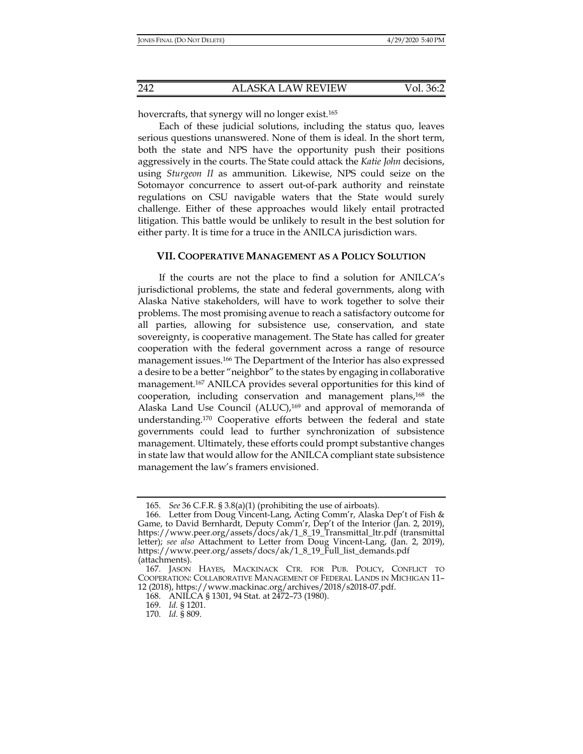hovercrafts, that synergy will no longer exist.<sup>165</sup>

Each of these judicial solutions, including the status quo, leaves serious questions unanswered. None of them is ideal. In the short term, both the state and NPS have the opportunity push their positions aggressively in the courts. The State could attack the *Katie John* decisions, using *Sturgeon II* as ammunition. Likewise, NPS could seize on the Sotomayor concurrence to assert out-of-park authority and reinstate regulations on CSU navigable waters that the State would surely challenge. Either of these approaches would likely entail protracted litigation. This battle would be unlikely to result in the best solution for either party. It is time for a truce in the ANILCA jurisdiction wars.

# **VII. COOPERATIVE MANAGEMENT AS A POLICY SOLUTION**

If the courts are not the place to find a solution for ANILCA's jurisdictional problems, the state and federal governments, along with Alaska Native stakeholders, will have to work together to solve their problems. The most promising avenue to reach a satisfactory outcome for all parties, allowing for subsistence use, conservation, and state sovereignty, is cooperative management. The State has called for greater cooperation with the federal government across a range of resource management issues.166 The Department of the Interior has also expressed a desire to be a better "neighbor" to the states by engaging in collaborative management.167 ANILCA provides several opportunities for this kind of cooperation, including conservation and management plans,168 the Alaska Land Use Council (ALUC),<sup>169</sup> and approval of memoranda of understanding.170 Cooperative efforts between the federal and state governments could lead to further synchronization of subsistence management. Ultimately, these efforts could prompt substantive changes in state law that would allow for the ANILCA compliant state subsistence management the law's framers envisioned.

 <sup>165.</sup> *See* 36 C.F.R. § 3.8(a)(1) (prohibiting the use of airboats).

 <sup>166.</sup> Letter from Doug Vincent-Lang, Acting Comm'r, Alaska Dep't of Fish & Game, to David Bernhardt, Deputy Comm'r, Dep't of the Interior (Jan. 2, 2019), https://www.peer.org/assets/docs/ak/1\_8\_19\_Transmittal\_ltr.pdf (transmittal letter); *see also* Attachment to Letter from Doug Vincent-Lang, (Jan. 2, 2019), https://www.peer.org/assets/docs/ak/1\_8\_19\_Full\_list\_demands.pdf (attachments).

 <sup>167.</sup> JASON HAYES, MACKINACK CTR. FOR PUB. POLICY, CONFLICT TO COOPERATION: COLLABORATIVE MANAGEMENT OF FEDERAL LANDS IN MICHIGAN 11– 12 (2018), https://www.mackinac.org/archives/2018/s2018-07.pdf.

 <sup>168.</sup> ANILCA § 1301, 94 Stat. at 2472–73 (1980).

 <sup>169.</sup> *Id.* § 1201.

 <sup>170.</sup> *Id.* § 809.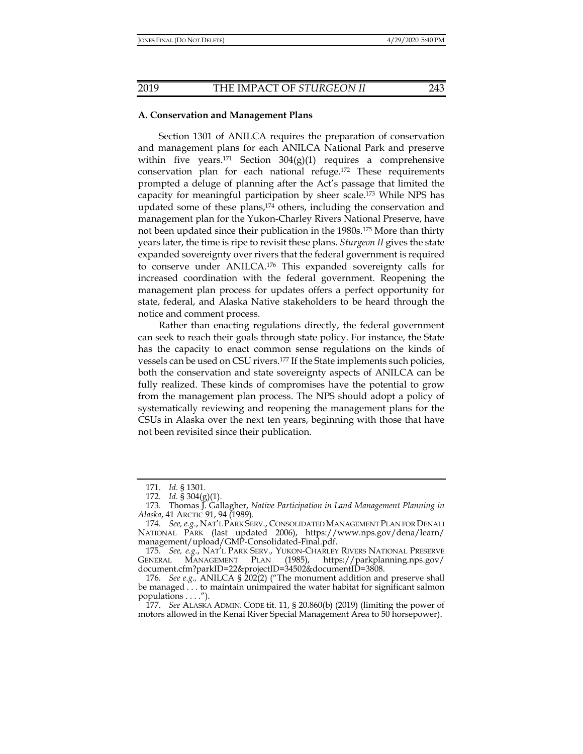#### **A. Conservation and Management Plans**

Section 1301 of ANILCA requires the preparation of conservation and management plans for each ANILCA National Park and preserve within five years.<sup>171</sup> Section  $304(g)(1)$  requires a comprehensive conservation plan for each national refuge.172 These requirements prompted a deluge of planning after the Act's passage that limited the capacity for meaningful participation by sheer scale.173 While NPS has updated some of these plans,<sup>174</sup> others, including the conservation and management plan for the Yukon-Charley Rivers National Preserve, have not been updated since their publication in the 1980s.175 More than thirty years later, the time is ripe to revisit these plans. *Sturgeon II* gives the state expanded sovereignty over rivers that the federal government is required to conserve under ANILCA.176 This expanded sovereignty calls for increased coordination with the federal government. Reopening the management plan process for updates offers a perfect opportunity for state, federal, and Alaska Native stakeholders to be heard through the notice and comment process.

Rather than enacting regulations directly, the federal government can seek to reach their goals through state policy. For instance, the State has the capacity to enact common sense regulations on the kinds of vessels can be used on CSU rivers.177 If the State implements such policies, both the conservation and state sovereignty aspects of ANILCA can be fully realized. These kinds of compromises have the potential to grow from the management plan process. The NPS should adopt a policy of systematically reviewing and reopening the management plans for the CSUs in Alaska over the next ten years, beginning with those that have not been revisited since their publication.

 <sup>171.</sup> *Id.* § 1301.

 <sup>172.</sup> *Id.* § 304(g)(1).

 <sup>173.</sup> Thomas J. Gallagher, *Native Participation in Land Management Planning in Alaska*, 41 ARCTIC 91, 94 (1989).

 <sup>174.</sup> *See, e.g.*, NAT'L PARK SERV., CONSOLIDATED MANAGEMENT PLAN FOR DENALI NATIONAL PARK (last updated 2006), https://www.nps.gov/dena/learn/ management/upload/GMP-Consolidated-Final.pdf.

 <sup>175.</sup> *See, e.g.*, NAT'L PARK SERV., YUKON-CHARLEY RIVERS NATIONAL PRESERVE GENERAL MANAGEMENT PLAN (1985), https://parkplanning.nps.gov/ document.cfm?parkID=22&projectID=34502&documentID=3808.

 <sup>176.</sup> *See e.g.,* ANILCA § 202(2) ("The monument addition and preserve shall be managed . . . to maintain unimpaired the water habitat for significant salmon populations . . . .").

 <sup>177.</sup> *See* ALASKA ADMIN. CODE tit. 11, § 20.860(b) (2019) (limiting the power of motors allowed in the Kenai River Special Management Area to 50 horsepower).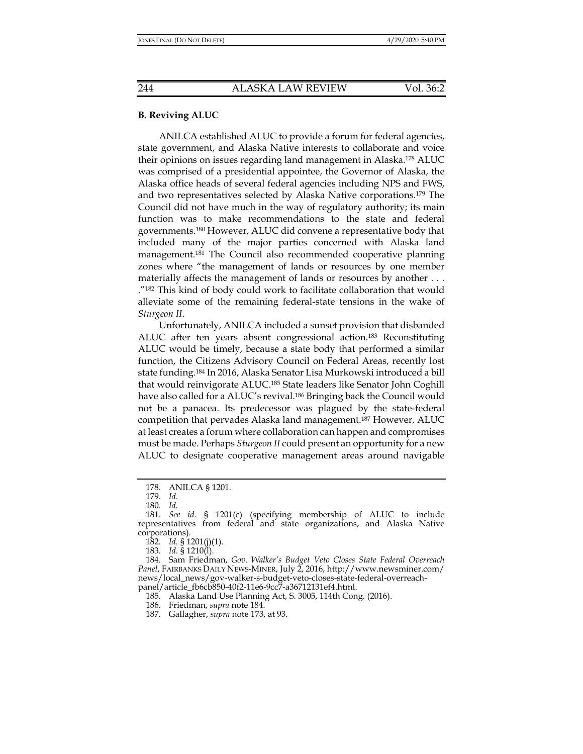# **B. Reviving ALUC**

ANILCA established ALUC to provide a forum for federal agencies, state government, and Alaska Native interests to collaborate and voice their opinions on issues regarding land management in Alaska.178 ALUC was comprised of a presidential appointee, the Governor of Alaska, the Alaska office heads of several federal agencies including NPS and FWS, and two representatives selected by Alaska Native corporations.179 The Council did not have much in the way of regulatory authority; its main function was to make recommendations to the state and federal governments.<sup>180</sup> However, ALUC did convene a representative body that included many of the major parties concerned with Alaska land management.181 The Council also recommended cooperative planning zones where "the management of lands or resources by one member materially affects the management of lands or resources by another . . . ."182 This kind of body could work to facilitate collaboration that would alleviate some of the remaining federal-state tensions in the wake of *Sturgeon II*.

Unfortunately, ANILCA included a sunset provision that disbanded ALUC after ten years absent congressional action.183 Reconstituting ALUC would be timely, because a state body that performed a similar function, the Citizens Advisory Council on Federal Areas, recently lost state funding.184 In 2016, Alaska Senator Lisa Murkowski introduced a bill that would reinvigorate ALUC.185 State leaders like Senator John Coghill have also called for a ALUC's revival.<sup>186</sup> Bringing back the Council would not be a panacea. Its predecessor was plagued by the state-federal competition that pervades Alaska land management.187 However, ALUC at least creates a forum where collaboration can happen and compromises must be made. Perhaps *Sturgeon II* could present an opportunity for a new ALUC to designate cooperative management areas around navigable

183. *Id.* § 1210(l).

 <sup>178.</sup> ANILCA § 1201.

 <sup>179.</sup> *Id.*

 <sup>180.</sup> *Id.* 

 <sup>181.</sup> *See id.* § 1201(c) (specifying membership of ALUC to include representatives from federal and state organizations, and Alaska Native corporations).

 <sup>182.</sup> *Id.* § 1201(j)(1).

 <sup>184.</sup> Sam Friedman, *Gov. Walker's Budget Veto Closes State Federal Overreach Panel*, FAIRBANKS DAILY NEWS-MINER, July 2, 2016, http://www.newsminer.com/ news/local\_news/gov-walker-s-budget-veto-closes-state-federal-overreachpanel/article\_fb6cb850-40f2-11e6-9cc7-a36712131ef4.html.

 <sup>185.</sup> Alaska Land Use Planning Act, S. 3005, 114th Cong. (2016).

 <sup>186.</sup> Friedman, *supra* note 184.

 <sup>187.</sup> Gallagher, *supra* note 173, at 93.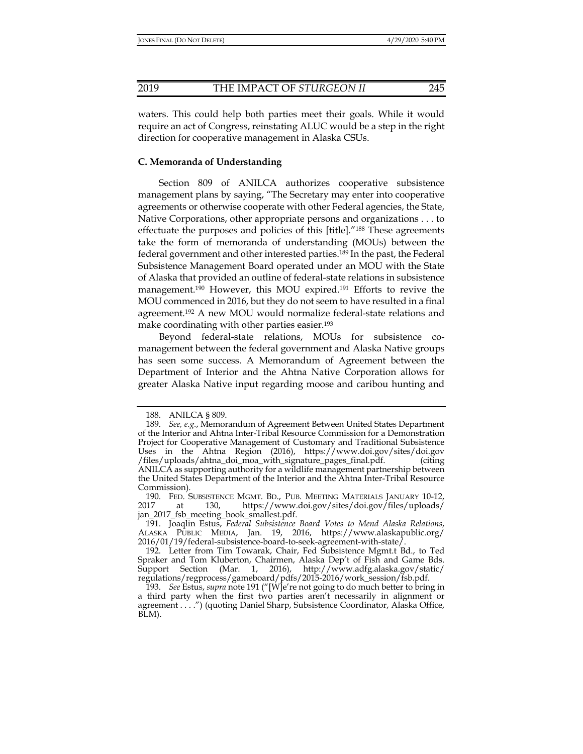waters. This could help both parties meet their goals. While it would require an act of Congress, reinstating ALUC would be a step in the right direction for cooperative management in Alaska CSUs.

# **C. Memoranda of Understanding**

Section 809 of ANILCA authorizes cooperative subsistence management plans by saying, "The Secretary may enter into cooperative agreements or otherwise cooperate with other Federal agencies, the State, Native Corporations, other appropriate persons and organizations . . . to effectuate the purposes and policies of this [title]."188 These agreements take the form of memoranda of understanding (MOUs) between the federal government and other interested parties.189 In the past, the Federal Subsistence Management Board operated under an MOU with the State of Alaska that provided an outline of federal-state relations in subsistence management.190 However, this MOU expired.191 Efforts to revive the MOU commenced in 2016, but they do not seem to have resulted in a final agreement.192 A new MOU would normalize federal-state relations and make coordinating with other parties easier.193

Beyond federal-state relations, MOUs for subsistence comanagement between the federal government and Alaska Native groups has seen some success. A Memorandum of Agreement between the Department of Interior and the Ahtna Native Corporation allows for greater Alaska Native input regarding moose and caribou hunting and

 <sup>188.</sup> ANILCA § 809.

 <sup>189.</sup> *See, e.g.*, Memorandum of Agreement Between United States Department of the Interior and Ahtna Inter-Tribal Resource Commission for a Demonstration Project for Cooperative Management of Customary and Traditional Subsistence Uses in the Ahtna Region (2016), https://www.doi.gov/sites/doi.gov /files/uploads/ahtna\_doi\_moa\_with\_signature\_pages\_final.pdf. (citing ANILCA as supporting authority for a wildlife management partnership between the United States Department of the Interior and the Ahtna Inter-Tribal Resource Commission).

<sup>190.</sup> FED. SUBSISTENCE MGMT. BD., PUB. MEETING MATERIALS JANUARY 10-12,<br>2017 at 130, https://www.doi.gov/sites/doi.gov/files/uploads/ at 130, https://www.doi.gov/sites/doi.gov/files/uploads/ jan\_2017\_fsb\_meeting\_book\_smallest.pdf.

 <sup>191.</sup> Joaqlin Estus, *Federal Subsistence Board Votes to Mend Alaska Relations*, ALASKA PUBLIC MEDIA, Jan. 19, 2016, https://www.alaskapublic.org/ 2016/01/19/federal-subsistence-board-to-seek-agreement-with-state/.

 <sup>192.</sup> Letter from Tim Towarak, Chair, Fed Subsistence Mgmt.t Bd., to Ted Spraker and Tom Kluberton, Chairmen, Alaska Dep't of Fish and Game Bds. Support Section (Mar. 1, 2016), http://www.adfg.alaska.gov/static/ regulations/regprocess/gameboard/pdfs/2015-2016/work\_session/fsb.pdf.

 <sup>193.</sup> *See* Estus, *supra* note 191 ("[W]e're not going to do much better to bring in a third party when the first two parties aren't necessarily in alignment or agreement . . . .") (quoting Daniel Sharp, Subsistence Coordinator, Alaska Office, BLM).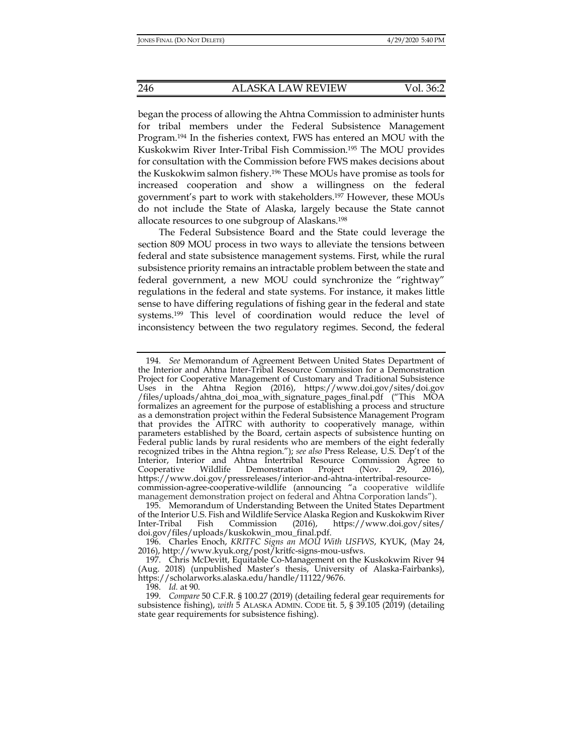began the process of allowing the Ahtna Commission to administer hunts for tribal members under the Federal Subsistence Management Program.194 In the fisheries context, FWS has entered an MOU with the Kuskokwim River Inter-Tribal Fish Commission.195 The MOU provides for consultation with the Commission before FWS makes decisions about the Kuskokwim salmon fishery.196 These MOUs have promise as tools for increased cooperation and show a willingness on the federal government's part to work with stakeholders.197 However, these MOUs do not include the State of Alaska, largely because the State cannot allocate resources to one subgroup of Alaskans.198

The Federal Subsistence Board and the State could leverage the section 809 MOU process in two ways to alleviate the tensions between federal and state subsistence management systems. First, while the rural subsistence priority remains an intractable problem between the state and federal government, a new MOU could synchronize the "rightway" regulations in the federal and state systems. For instance, it makes little sense to have differing regulations of fishing gear in the federal and state systems.199 This level of coordination would reduce the level of inconsistency between the two regulatory regimes. Second, the federal

 <sup>194.</sup> *See* Memorandum of Agreement Between United States Department of the Interior and Ahtna Inter-Tribal Resource Commission for a Demonstration Project for Cooperative Management of Customary and Traditional Subsistence Uses in the Ahtna Region (2016), https://www.doi.gov/sites/doi.gov /files/uploads/ahtna\_doi\_moa\_with\_signature\_pages\_final.pdf ("This MOA formalizes an agreement for the purpose of establishing a process and structure as a demonstration project within the Federal Subsistence Management Program that provides the AITRC with authority to cooperatively manage, within parameters established by the Board, certain aspects of subsistence hunting on Federal public lands by rural residents who are members of the eight federally recognized tribes in the Ahtna region."); *see also* Press Release, U.S. Dep't of the Interior, Interior and Ahtna Intertribal Resource Commission Agree to Cooperative Wildlife Demonstration Project (Nov. 29, 2016), https://www.doi.gov/pressreleases/interior-and-ahtna-intertribal-resourcecommission-agree-cooperative-wildlife (announcing "a cooperative wildlife management demonstration project on federal and Ahtna Corporation lands").

 <sup>195.</sup> Memorandum of Understanding Between the United States Department of the Interior U.S. Fish and Wildlife Service Alaska Region and Kuskokwim River Inter-Tribal Fish Commission (2016), https://www.doi.gov/sites/ doi.gov/files/uploads/kuskokwin\_mou\_final.pdf.

 <sup>196.</sup> Charles Enoch, *KRITFC Signs an MOU With USFWS*, KYUK, (May 24, 2016), http://www.kyuk.org/post/kritfc-signs-mou-usfws.

 <sup>197.</sup> Chris McDevitt, Equitable Co-Management on the Kuskokwim River 94 (Aug. 2018) (unpublished Master's thesis, University of Alaska-Fairbanks), https://scholarworks.alaska.edu/handle/11122/9676.

 <sup>198.</sup> *Id.* at 90.

 <sup>199.</sup> *Compare* 50 C.F.R. § 100.27 (2019) (detailing federal gear requirements for subsistence fishing), *with* 5 ALASKA ADMIN. CODE tit. 5, § 39.105 (2019) (detailing state gear requirements for subsistence fishing).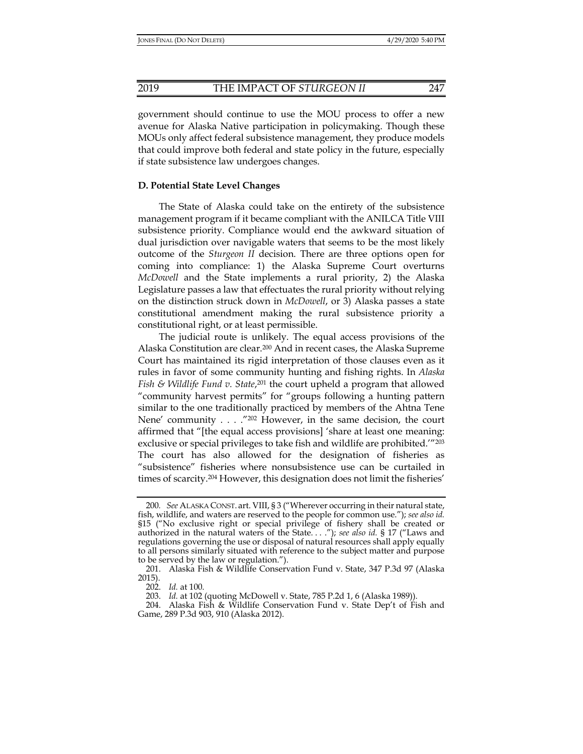government should continue to use the MOU process to offer a new avenue for Alaska Native participation in policymaking. Though these MOUs only affect federal subsistence management, they produce models that could improve both federal and state policy in the future, especially if state subsistence law undergoes changes.

## **D. Potential State Level Changes**

The State of Alaska could take on the entirety of the subsistence management program if it became compliant with the ANILCA Title VIII subsistence priority. Compliance would end the awkward situation of dual jurisdiction over navigable waters that seems to be the most likely outcome of the *Sturgeon II* decision. There are three options open for coming into compliance: 1) the Alaska Supreme Court overturns *McDowell* and the State implements a rural priority, 2) the Alaska Legislature passes a law that effectuates the rural priority without relying on the distinction struck down in *McDowell*, or 3) Alaska passes a state constitutional amendment making the rural subsistence priority a constitutional right, or at least permissible.

The judicial route is unlikely. The equal access provisions of the Alaska Constitution are clear.200 And in recent cases, the Alaska Supreme Court has maintained its rigid interpretation of those clauses even as it rules in favor of some community hunting and fishing rights. In *Alaska Fish & Wildlife Fund v. State*,<sup>201</sup> the court upheld a program that allowed "community harvest permits" for "groups following a hunting pattern similar to the one traditionally practiced by members of the Ahtna Tene Nene' community . . . . "202 However, in the same decision, the court affirmed that "[the equal access provisions] 'share at least one meaning: exclusive or special privileges to take fish and wildlife are prohibited.'"203 The court has also allowed for the designation of fisheries as "subsistence" fisheries where nonsubsistence use can be curtailed in times of scarcity.204 However, this designation does not limit the fisheries'

<sup>200</sup>*. See* ALASKA CONST. art. VIII, § 3 ("Wherever occurring in their natural state, fish, wildlife, and waters are reserved to the people for common use."); *see also id.* §15 ("No exclusive right or special privilege of fishery shall be created or authorized in the natural waters of the State. . . ."); *see also id.* § 17 ("Laws and regulations governing the use or disposal of natural resources shall apply equally to all persons similarly situated with reference to the subject matter and purpose to be served by the law or regulation.").

 <sup>201.</sup> Alaska Fish & Wildlife Conservation Fund v. State, 347 P.3d 97 (Alaska 2015).

 <sup>202.</sup> *Id.* at 100.

 <sup>203.</sup> *Id.* at 102 (quoting McDowell v. State, 785 P.2d 1, 6 (Alaska 1989)).

 <sup>204.</sup> Alaska Fish & Wildlife Conservation Fund v. State Dep't of Fish and Game, 289 P.3d 903, 910 (Alaska 2012).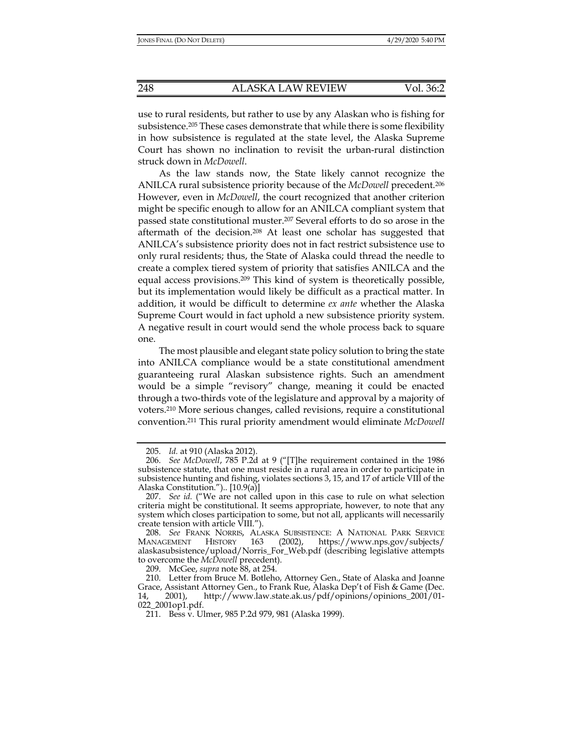use to rural residents, but rather to use by any Alaskan who is fishing for subsistence.205 These cases demonstrate that while there is some flexibility in how subsistence is regulated at the state level, the Alaska Supreme Court has shown no inclination to revisit the urban-rural distinction struck down in *McDowell*.

As the law stands now, the State likely cannot recognize the ANILCA rural subsistence priority because of the *McDowell* precedent.206 However, even in *McDowell*, the court recognized that another criterion might be specific enough to allow for an ANILCA compliant system that passed state constitutional muster.207 Several efforts to do so arose in the aftermath of the decision.208 At least one scholar has suggested that ANILCA's subsistence priority does not in fact restrict subsistence use to only rural residents; thus, the State of Alaska could thread the needle to create a complex tiered system of priority that satisfies ANILCA and the equal access provisions.209 This kind of system is theoretically possible, but its implementation would likely be difficult as a practical matter. In addition, it would be difficult to determine *ex ante* whether the Alaska Supreme Court would in fact uphold a new subsistence priority system. A negative result in court would send the whole process back to square one.

The most plausible and elegant state policy solution to bring the state into ANILCA compliance would be a state constitutional amendment guaranteeing rural Alaskan subsistence rights. Such an amendment would be a simple "revisory" change, meaning it could be enacted through a two-thirds vote of the legislature and approval by a majority of voters.210 More serious changes, called revisions, require a constitutional convention.211 This rural priority amendment would eliminate *McDowell* 

209. McGee, *supra* note 88, at 254.

 <sup>205.</sup> *Id.* at 910 (Alaska 2012).

 <sup>206.</sup> *See McDowell*, 785 P.2d at 9 ("[T]he requirement contained in the 1986 subsistence statute, that one must reside in a rural area in order to participate in subsistence hunting and fishing, violates sections 3, 15, and 17 of article VIII of the Alaska Constitution.").. [10.9(a)]

 <sup>207.</sup> *See id.* ("We are not called upon in this case to rule on what selection criteria might be constitutional. It seems appropriate, however, to note that any system which closes participation to some, but not all, applicants will necessarily create tension with article VIII.").

 <sup>208.</sup> *See* FRANK NORRIS, ALASKA SUBSISTENCE: A NATIONAL PARK SERVICE MANAGEMENT HISTORY 163 (2002), https://www.nps.gov/subjects/ alaskasubsistence/upload/Norris\_For\_Web.pdf (describing legislative attempts to overcome the *McDowell* precedent).

 <sup>210.</sup> Letter from Bruce M. Botleho, Attorney Gen., State of Alaska and Joanne Grace, Assistant Attorney Gen., to Frank Rue, Alaska Dep't of Fish & Game (Dec. 14, 2001), http://www.law.state.ak.us/pdf/opinions/opinions\_2001/01- 022\_2001op1.pdf.

 <sup>211.</sup> Bess v. Ulmer, 985 P.2d 979, 981 (Alaska 1999).